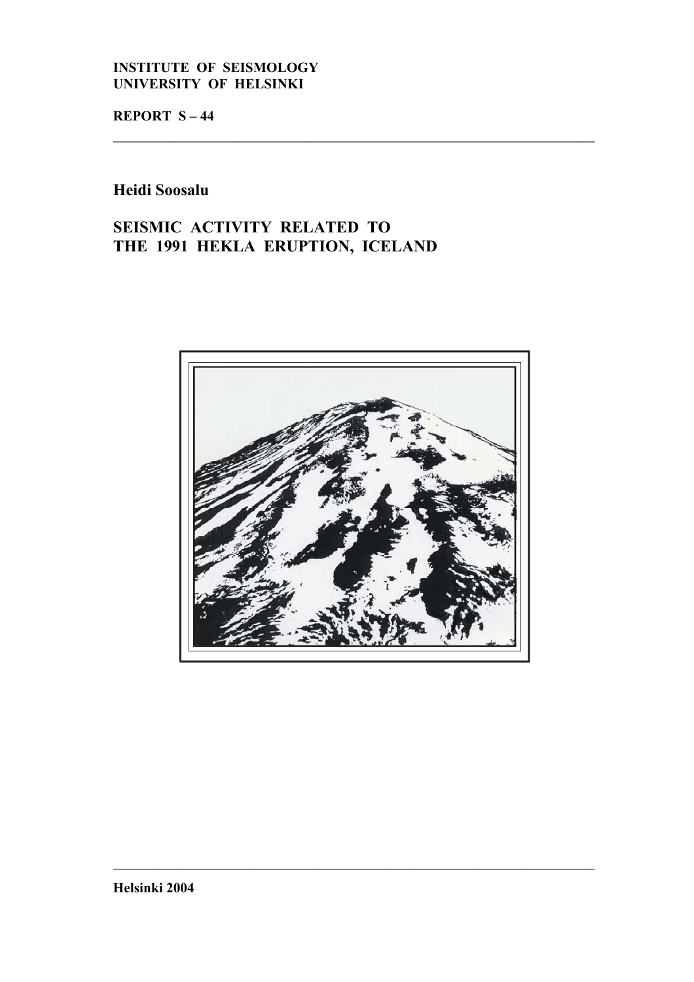# **INSTITUTE OF SEISMOLOGY UNIVERSITY OF HELSINKI**

**REPORT S – 44**

# **Heidi Soosalu**

# **SEISMIC ACTIVITY RELATED TO THE 1991 HEKLA ERUPTION, ICELAND**



 $\_$  , and the contribution of the contribution of  $\mathcal{L}_\mathcal{A}$  , and the contribution of  $\mathcal{L}_\mathcal{A}$ 

 $\_$  , and the contribution of the contribution of  $\mathcal{L}_\mathcal{A}$  , and the contribution of  $\mathcal{L}_\mathcal{A}$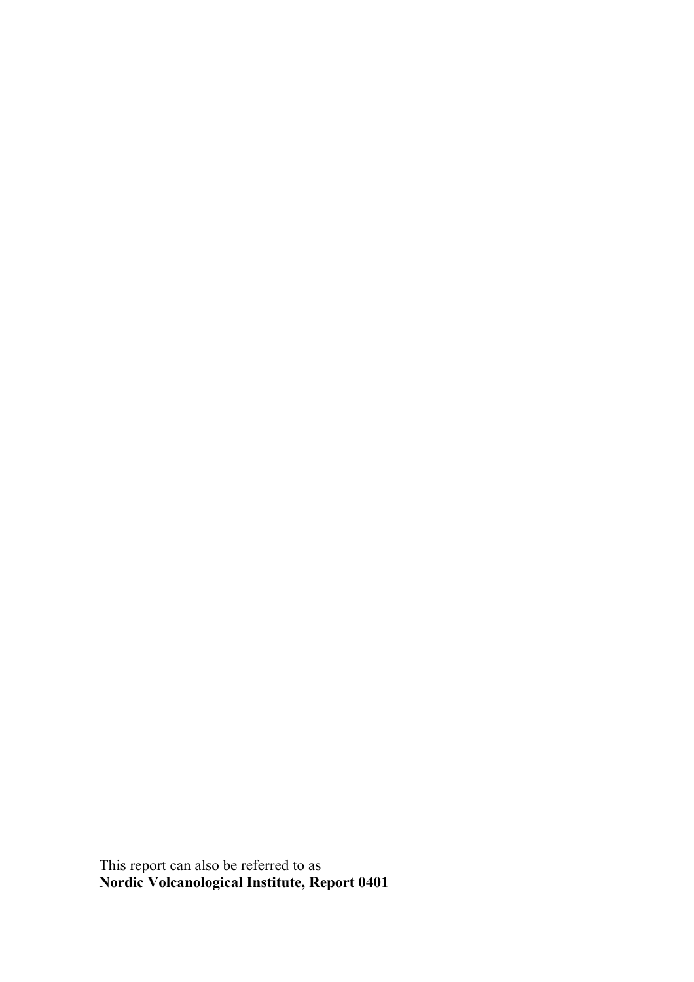This report can also be referred to as **Nordic Volcanological Institute, Report 0401**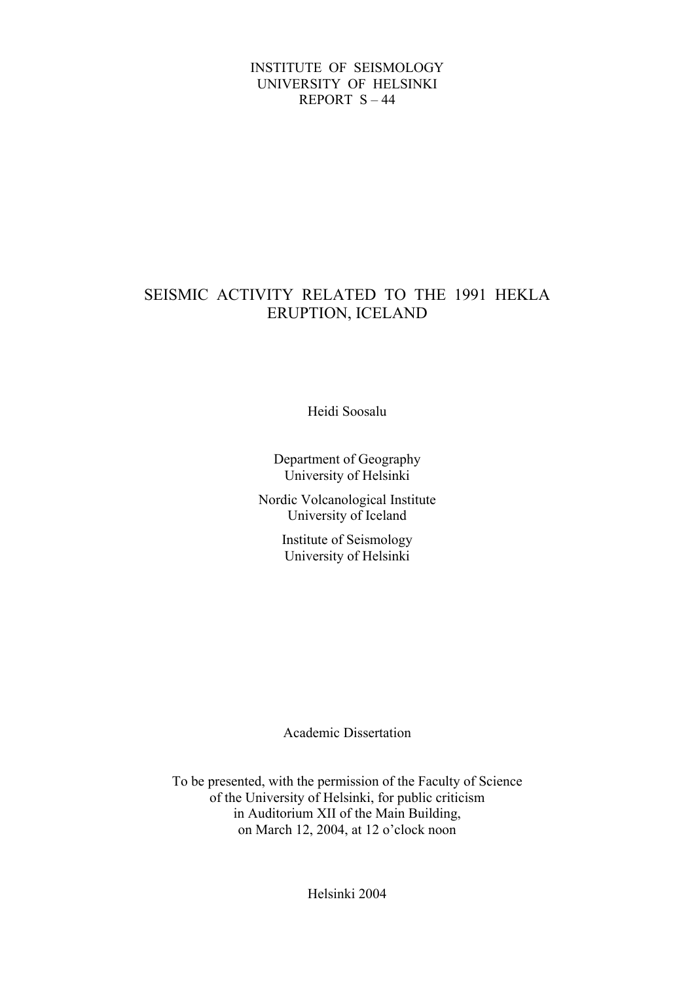# INSTITUTE OF SEISMOLOGY UNIVERSITY OF HELSINKI REPORT S – 44

# SEISMIC ACTIVITY RELATED TO THE 1991 HEKLA ERUPTION, ICELAND

Heidi Soosalu

Department of Geography University of Helsinki

Nordic Volcanological Institute University of Iceland

> Institute of Seismology University of Helsinki

> Academic Dissertation

To be presented, with the permission of the Faculty of Science of the University of Helsinki, for public criticism in Auditorium XII of the Main Building, on March 12, 2004, at 12 o'clock noon

Helsinki 2004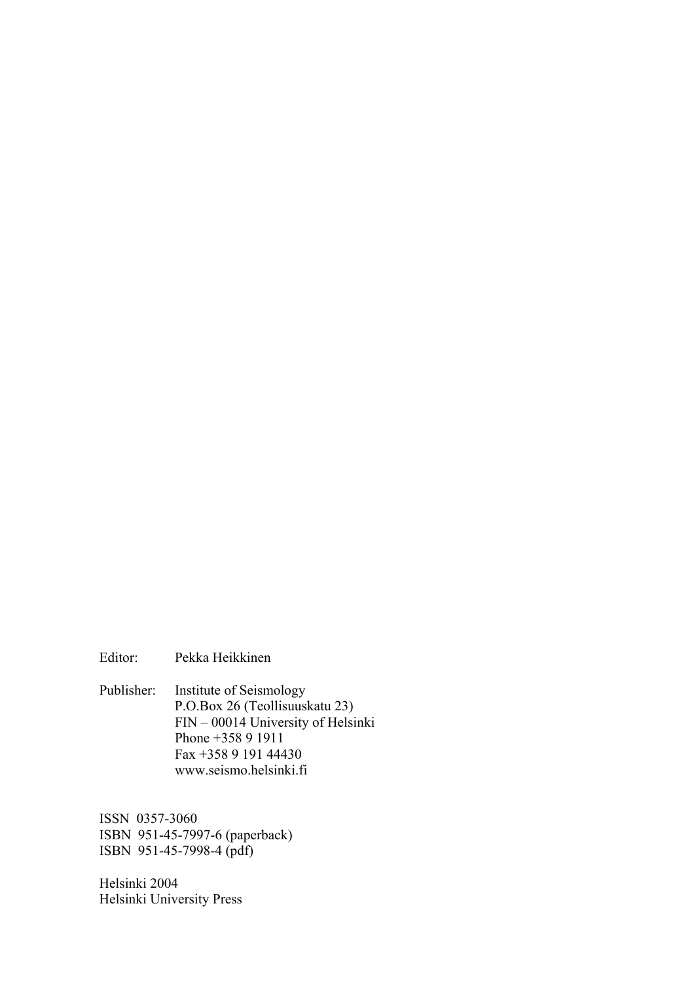Editor: Pekka Heikkinen

Publisher: Institute of Seismology P.O.Box 26 (Teollisuuskatu 23) FIN – 00014 University of Helsinki Phone +358 9 1911 Fax +358 9 191 44430 www.seismo.helsinki.fi

ISSN 0357-3060 ISBN 951-45-7997-6 (paperback) ISBN 951-45-7998-4 (pdf)

Helsinki 2004 Helsinki University Press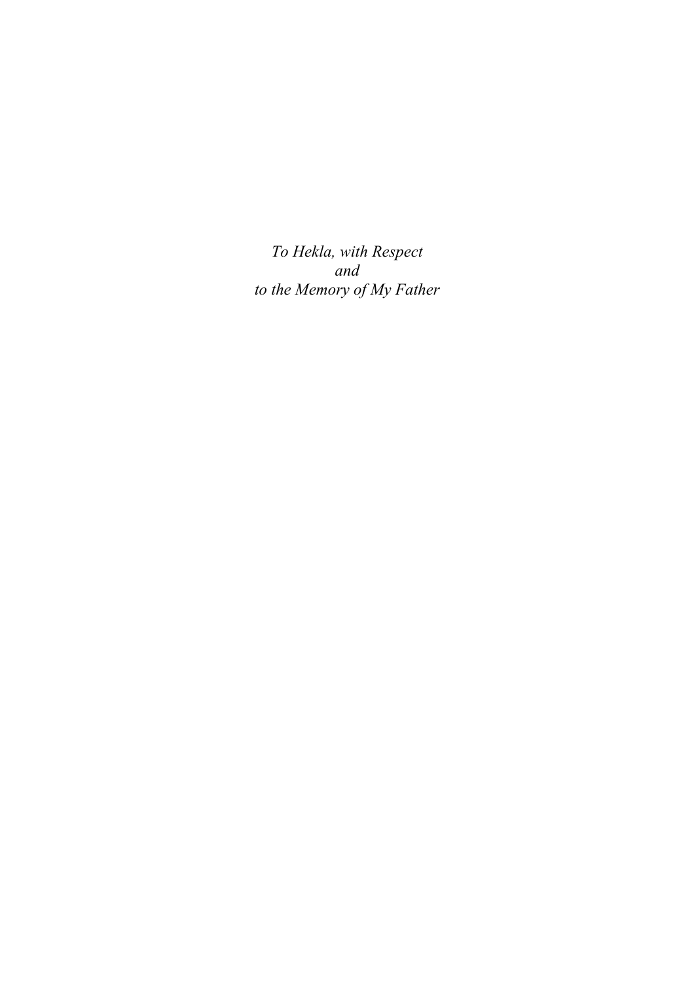*To Hekla, with Respect and to the Memory of My Father*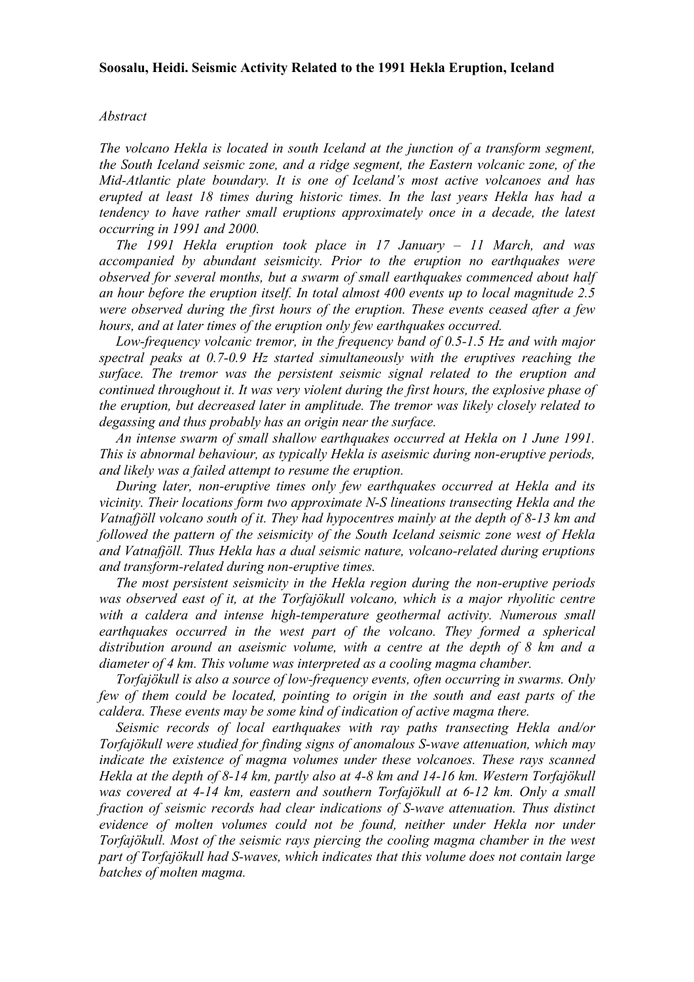#### **Soosalu, Heidi. Seismic Activity Related to the 1991 Hekla Eruption, Iceland**

#### *Abstract*

*The volcano Hekla is located in south Iceland at the junction of a transform segment, the South Iceland seismic zone, and a ridge segment, the Eastern volcanic zone, of the Mid-Atlantic plate boundary. It is one of Iceland's most active volcanoes and has erupted at least 18 times during historic times. In the last years Hekla has had a tendency to have rather small eruptions approximately once in a decade, the latest occurring in 1991 and 2000.* 

 *The 1991 Hekla eruption took place in 17 January – 11 March, and was accompanied by abundant seismicity. Prior to the eruption no earthquakes were observed for several months, but a swarm of small earthquakes commenced about half an hour before the eruption itself. In total almost 400 events up to local magnitude 2.5 were observed during the first hours of the eruption. These events ceased after a few hours, and at later times of the eruption only few earthquakes occurred.* 

 *Low-frequency volcanic tremor, in the frequency band of 0.5-1.5 Hz and with major spectral peaks at 0.7-0.9 Hz started simultaneously with the eruptives reaching the surface. The tremor was the persistent seismic signal related to the eruption and continued throughout it. It was very violent during the first hours, the explosive phase of the eruption, but decreased later in amplitude. The tremor was likely closely related to degassing and thus probably has an origin near the surface.* 

 *An intense swarm of small shallow earthquakes occurred at Hekla on 1 June 1991. This is abnormal behaviour, as typically Hekla is aseismic during non-eruptive periods, and likely was a failed attempt to resume the eruption.* 

 *During later, non-eruptive times only few earthquakes occurred at Hekla and its vicinity. Their locations form two approximate N-S lineations transecting Hekla and the Vatnafjöll volcano south of it. They had hypocentres mainly at the depth of 8-13 km and followed the pattern of the seismicity of the South Iceland seismic zone west of Hekla and Vatnafjöll. Thus Hekla has a dual seismic nature, volcano-related during eruptions and transform-related during non-eruptive times.* 

 *The most persistent seismicity in the Hekla region during the non-eruptive periods was observed east of it, at the Torfajökull volcano, which is a major rhyolitic centre*  with a caldera and intense high-temperature geothermal activity. Numerous small *earthquakes occurred in the west part of the volcano. They formed a spherical distribution around an aseismic volume, with a centre at the depth of 8 km and a diameter of 4 km. This volume was interpreted as a cooling magma chamber.* 

 *Torfajökull is also a source of low-frequency events, often occurring in swarms. Only few of them could be located, pointing to origin in the south and east parts of the caldera. These events may be some kind of indication of active magma there.* 

 *Seismic records of local earthquakes with ray paths transecting Hekla and/or Torfajökull were studied for finding signs of anomalous S-wave attenuation, which may indicate the existence of magma volumes under these volcanoes. These rays scanned Hekla at the depth of 8-14 km, partly also at 4-8 km and 14-16 km. Western Torfajökull was covered at 4-14 km, eastern and southern Torfajökull at 6-12 km. Only a small fraction of seismic records had clear indications of S-wave attenuation. Thus distinct*  evidence of molten volumes could not be found, neither under Hekla nor under *Torfajökull. Most of the seismic rays piercing the cooling magma chamber in the west part of Torfajökull had S-waves, which indicates that this volume does not contain large batches of molten magma.*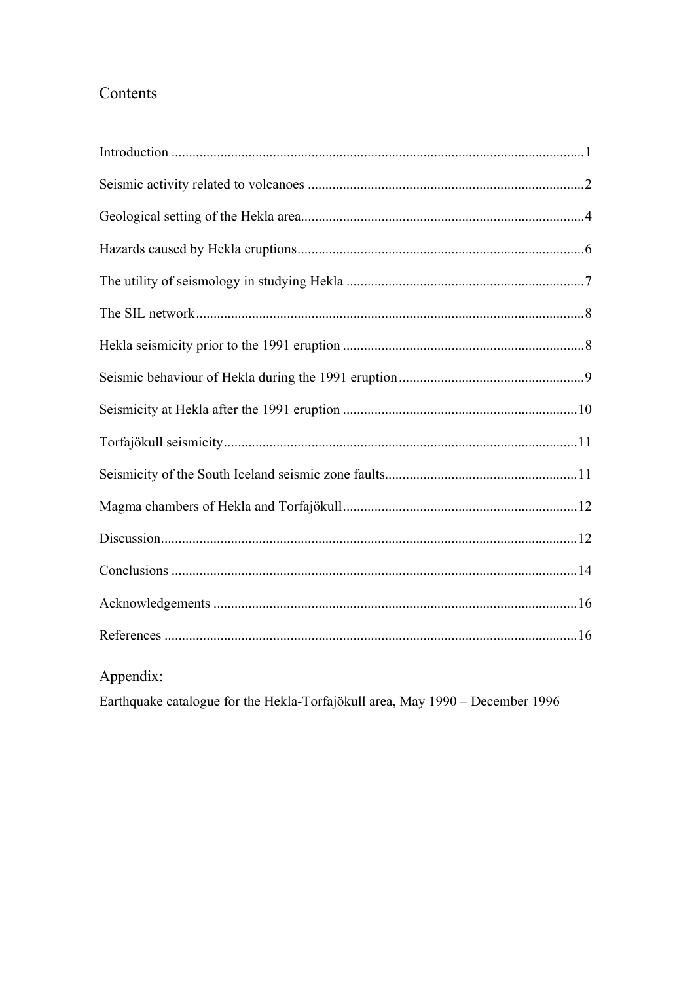# Contents

| Appendix: |  |
|-----------|--|

Earthquake catalogue for the Hekla-Torfajökull area, May 1990 - December 1996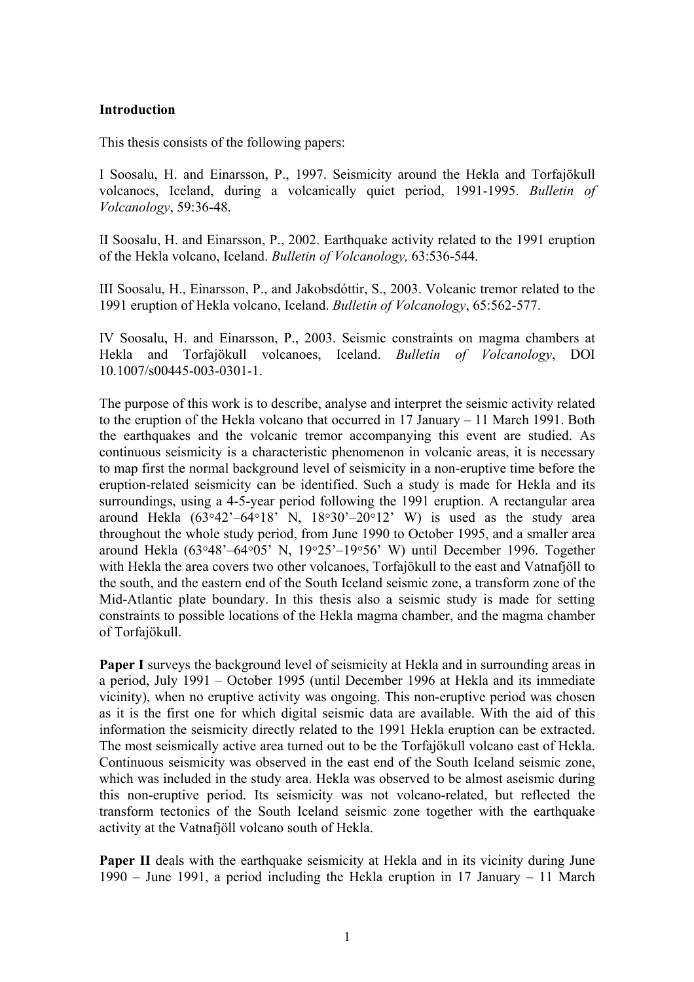# **Introduction**

This thesis consists of the following papers:

I Soosalu, H. and Einarsson, P., 1997. Seismicity around the Hekla and Torfajökull volcanoes, Iceland, during a volcanically quiet period, 1991-1995. *Bulletin of Volcanology*, 59:36-48.

II Soosalu, H. and Einarsson, P., 2002. Earthquake activity related to the 1991 eruption of the Hekla volcano, Iceland. *Bulletin of Volcanology,* 63:536-544.

III Soosalu, H., Einarsson, P., and Jakobsdóttir, S., 2003. Volcanic tremor related to the 1991 eruption of Hekla volcano, Iceland. *Bulletin of Volcanology*, 65:562-577.

IV Soosalu, H. and Einarsson, P., 2003. Seismic constraints on magma chambers at Hekla and Torfajökull volcanoes, Iceland. *Bulletin of Volcanology*, DOI 10.1007/s00445-003-0301-1.

The purpose of this work is to describe, analyse and interpret the seismic activity related to the eruption of the Hekla volcano that occurred in 17 January – 11 March 1991. Both the earthquakes and the volcanic tremor accompanying this event are studied. As continuous seismicity is a characteristic phenomenon in volcanic areas, it is necessary to map first the normal background level of seismicity in a non-eruptive time before the eruption-related seismicity can be identified. Such a study is made for Hekla and its surroundings, using a 4-5-year period following the 1991 eruption. A rectangular area around Hekla  $(63°42' - 64°18' N, 18°30' - 20°12' W)$  is used as the study area throughout the whole study period, from June 1990 to October 1995, and a smaller area around Hekla (63°48'–64°05' N, 19°25'–19°56' W) until December 1996. Together with Hekla the area covers two other volcanoes, Torfajökull to the east and Vatnafjöll to the south, and the eastern end of the South Iceland seismic zone, a transform zone of the Mid-Atlantic plate boundary. In this thesis also a seismic study is made for setting constraints to possible locations of the Hekla magma chamber, and the magma chamber of Torfajökull.

**Paper I** surveys the background level of seismicity at Hekla and in surrounding areas in a period, July 1991 – October 1995 (until December 1996 at Hekla and its immediate vicinity), when no eruptive activity was ongoing. This non-eruptive period was chosen as it is the first one for which digital seismic data are available. With the aid of this information the seismicity directly related to the 1991 Hekla eruption can be extracted. The most seismically active area turned out to be the Torfajökull volcano east of Hekla. Continuous seismicity was observed in the east end of the South Iceland seismic zone, which was included in the study area. Hekla was observed to be almost aseismic during this non-eruptive period. Its seismicity was not volcano-related, but reflected the transform tectonics of the South Iceland seismic zone together with the earthquake activity at the Vatnafjöll volcano south of Hekla.

**Paper II** deals with the earthquake seismicity at Hekla and in its vicinity during June 1990 – June 1991, a period including the Hekla eruption in 17 January – 11 March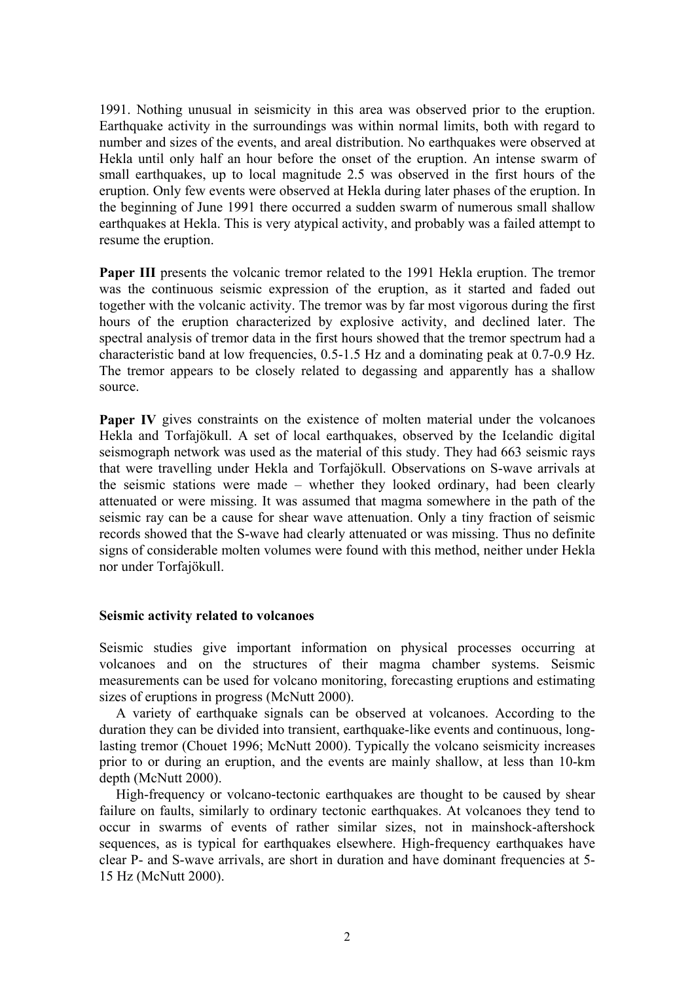1991. Nothing unusual in seismicity in this area was observed prior to the eruption. Earthquake activity in the surroundings was within normal limits, both with regard to number and sizes of the events, and areal distribution. No earthquakes were observed at Hekla until only half an hour before the onset of the eruption. An intense swarm of small earthquakes, up to local magnitude 2.5 was observed in the first hours of the eruption. Only few events were observed at Hekla during later phases of the eruption. In the beginning of June 1991 there occurred a sudden swarm of numerous small shallow earthquakes at Hekla. This is very atypical activity, and probably was a failed attempt to resume the eruption.

**Paper III** presents the volcanic tremor related to the 1991 Hekla eruption. The tremor was the continuous seismic expression of the eruption, as it started and faded out together with the volcanic activity. The tremor was by far most vigorous during the first hours of the eruption characterized by explosive activity, and declined later. The spectral analysis of tremor data in the first hours showed that the tremor spectrum had a characteristic band at low frequencies, 0.5-1.5 Hz and a dominating peak at 0.7-0.9 Hz. The tremor appears to be closely related to degassing and apparently has a shallow source.

**Paper IV** gives constraints on the existence of molten material under the volcanoes Hekla and Torfajökull. A set of local earthquakes, observed by the Icelandic digital seismograph network was used as the material of this study. They had 663 seismic rays that were travelling under Hekla and Torfajökull. Observations on S-wave arrivals at the seismic stations were made – whether they looked ordinary, had been clearly attenuated or were missing. It was assumed that magma somewhere in the path of the seismic ray can be a cause for shear wave attenuation. Only a tiny fraction of seismic records showed that the S-wave had clearly attenuated or was missing. Thus no definite signs of considerable molten volumes were found with this method, neither under Hekla nor under Torfajökull.

## **Seismic activity related to volcanoes**

Seismic studies give important information on physical processes occurring at volcanoes and on the structures of their magma chamber systems. Seismic measurements can be used for volcano monitoring, forecasting eruptions and estimating sizes of eruptions in progress (McNutt 2000).

A variety of earthquake signals can be observed at volcanoes. According to the duration they can be divided into transient, earthquake-like events and continuous, longlasting tremor (Chouet 1996; McNutt 2000). Typically the volcano seismicity increases prior to or during an eruption, and the events are mainly shallow, at less than 10-km depth (McNutt 2000).

High-frequency or volcano-tectonic earthquakes are thought to be caused by shear failure on faults, similarly to ordinary tectonic earthquakes. At volcanoes they tend to occur in swarms of events of rather similar sizes, not in mainshock-aftershock sequences, as is typical for earthquakes elsewhere. High-frequency earthquakes have clear P- and S-wave arrivals, are short in duration and have dominant frequencies at 5- 15 Hz (McNutt 2000).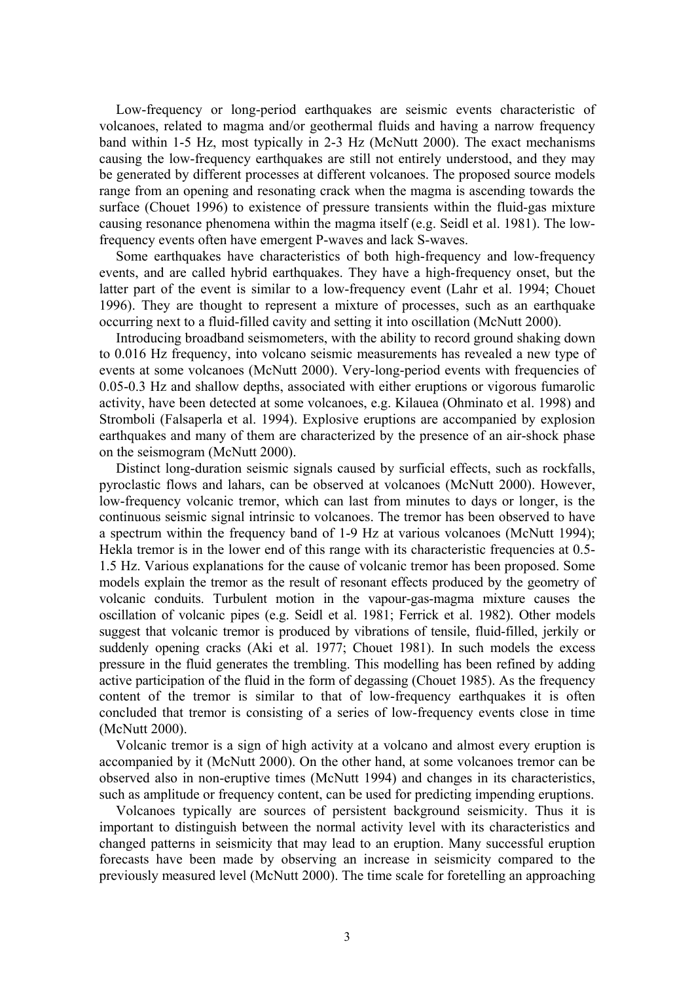Low-frequency or long-period earthquakes are seismic events characteristic of volcanoes, related to magma and/or geothermal fluids and having a narrow frequency band within 1-5 Hz, most typically in 2-3 Hz (McNutt 2000). The exact mechanisms causing the low-frequency earthquakes are still not entirely understood, and they may be generated by different processes at different volcanoes. The proposed source models range from an opening and resonating crack when the magma is ascending towards the surface (Chouet 1996) to existence of pressure transients within the fluid-gas mixture causing resonance phenomena within the magma itself (e.g. Seidl et al. 1981). The lowfrequency events often have emergent P-waves and lack S-waves.

Some earthquakes have characteristics of both high-frequency and low-frequency events, and are called hybrid earthquakes. They have a high-frequency onset, but the latter part of the event is similar to a low-frequency event (Lahr et al. 1994; Chouet 1996). They are thought to represent a mixture of processes, such as an earthquake occurring next to a fluid-filled cavity and setting it into oscillation (McNutt 2000).

Introducing broadband seismometers, with the ability to record ground shaking down to 0.016 Hz frequency, into volcano seismic measurements has revealed a new type of events at some volcanoes (McNutt 2000). Very-long-period events with frequencies of 0.05-0.3 Hz and shallow depths, associated with either eruptions or vigorous fumarolic activity, have been detected at some volcanoes, e.g. Kilauea (Ohminato et al. 1998) and Stromboli (Falsaperla et al. 1994). Explosive eruptions are accompanied by explosion earthquakes and many of them are characterized by the presence of an air-shock phase on the seismogram (McNutt 2000).

Distinct long-duration seismic signals caused by surficial effects, such as rockfalls, pyroclastic flows and lahars, can be observed at volcanoes (McNutt 2000). However, low-frequency volcanic tremor, which can last from minutes to days or longer, is the continuous seismic signal intrinsic to volcanoes. The tremor has been observed to have a spectrum within the frequency band of 1-9 Hz at various volcanoes (McNutt 1994); Hekla tremor is in the lower end of this range with its characteristic frequencies at 0.5-1.5 Hz. Various explanations for the cause of volcanic tremor has been proposed. Some models explain the tremor as the result of resonant effects produced by the geometry of volcanic conduits. Turbulent motion in the vapour-gas-magma mixture causes the oscillation of volcanic pipes (e.g. Seidl et al. 1981; Ferrick et al. 1982). Other models suggest that volcanic tremor is produced by vibrations of tensile, fluid-filled, jerkily or suddenly opening cracks (Aki et al. 1977; Chouet 1981). In such models the excess pressure in the fluid generates the trembling. This modelling has been refined by adding active participation of the fluid in the form of degassing (Chouet 1985). As the frequency content of the tremor is similar to that of low-frequency earthquakes it is often concluded that tremor is consisting of a series of low-frequency events close in time (McNutt 2000).

Volcanic tremor is a sign of high activity at a volcano and almost every eruption is accompanied by it (McNutt 2000). On the other hand, at some volcanoes tremor can be observed also in non-eruptive times (McNutt 1994) and changes in its characteristics, such as amplitude or frequency content, can be used for predicting impending eruptions.

Volcanoes typically are sources of persistent background seismicity. Thus it is important to distinguish between the normal activity level with its characteristics and changed patterns in seismicity that may lead to an eruption. Many successful eruption forecasts have been made by observing an increase in seismicity compared to the previously measured level (McNutt 2000). The time scale for foretelling an approaching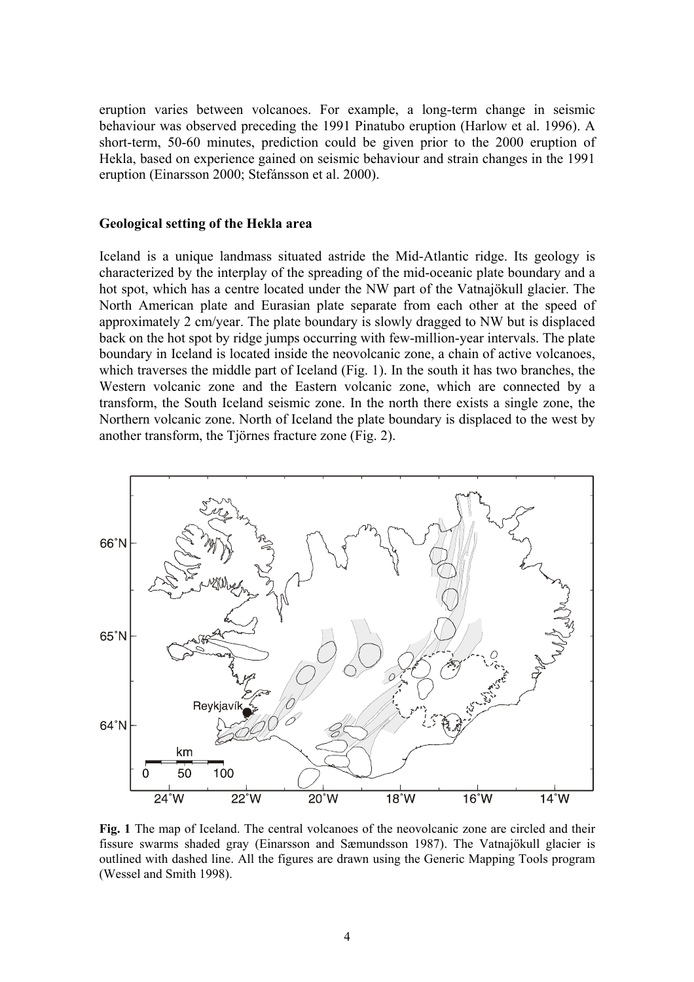eruption varies between volcanoes. For example, a long-term change in seismic behaviour was observed preceding the 1991 Pinatubo eruption (Harlow et al. 1996). A short-term, 50-60 minutes, prediction could be given prior to the 2000 eruption of Hekla, based on experience gained on seismic behaviour and strain changes in the 1991 eruption (Einarsson 2000; Stefánsson et al. 2000).

## **Geological setting of the Hekla area**

Iceland is a unique landmass situated astride the Mid-Atlantic ridge. Its geology is characterized by the interplay of the spreading of the mid-oceanic plate boundary and a hot spot, which has a centre located under the NW part of the Vatnajökull glacier. The North American plate and Eurasian plate separate from each other at the speed of approximately 2 cm/year. The plate boundary is slowly dragged to NW but is displaced back on the hot spot by ridge jumps occurring with few-million-year intervals. The plate boundary in Iceland is located inside the neovolcanic zone, a chain of active volcanoes, which traverses the middle part of Iceland (Fig. 1). In the south it has two branches, the Western volcanic zone and the Eastern volcanic zone, which are connected by a transform, the South Iceland seismic zone. In the north there exists a single zone, the Northern volcanic zone. North of Iceland the plate boundary is displaced to the west by another transform, the Tjörnes fracture zone (Fig. 2).



**Fig. 1** The map of Iceland. The central volcanoes of the neovolcanic zone are circled and their fissure swarms shaded gray (Einarsson and Sæmundsson 1987). The Vatnajökull glacier is outlined with dashed line. All the figures are drawn using the Generic Mapping Tools program (Wessel and Smith 1998).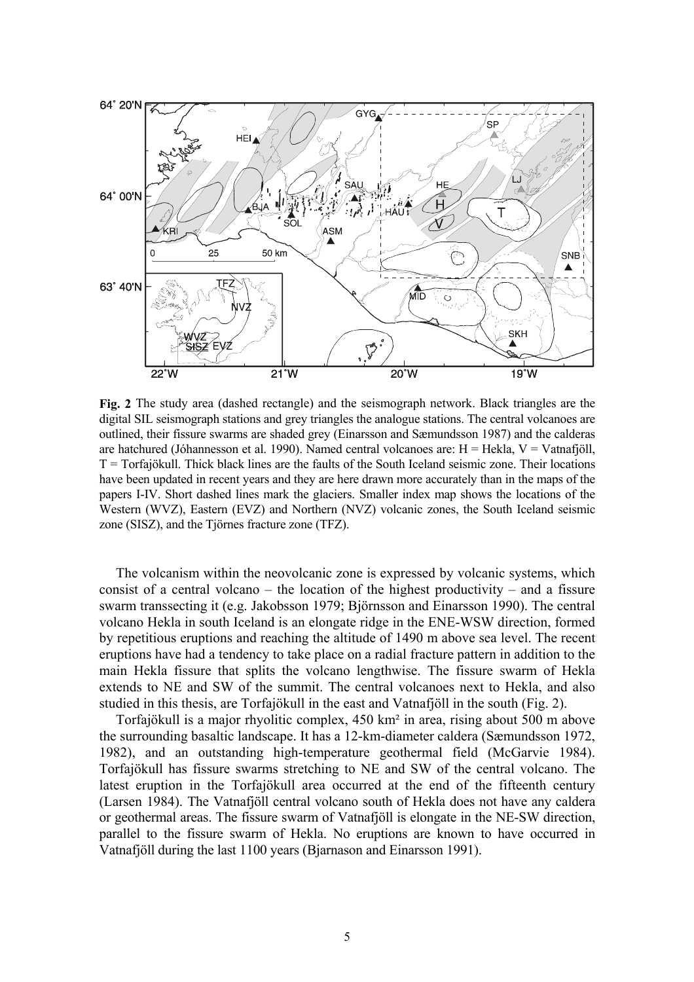

**Fig. 2** The study area (dashed rectangle) and the seismograph network. Black triangles are the digital SIL seismograph stations and grey triangles the analogue stations. The central volcanoes are outlined, their fissure swarms are shaded grey (Einarsson and Sæmundsson 1987) and the calderas are hatchured (Jóhannesson et al. 1990). Named central volcanoes are: H = Hekla, V = Vatnafjöll,  $T =$ Torfajökull. Thick black lines are the faults of the South Iceland seismic zone. Their locations have been updated in recent years and they are here drawn more accurately than in the maps of the papers I-IV. Short dashed lines mark the glaciers. Smaller index map shows the locations of the Western (WVZ), Eastern (EVZ) and Northern (NVZ) volcanic zones, the South Iceland seismic zone (SISZ), and the Tjörnes fracture zone (TFZ).

The volcanism within the neovolcanic zone is expressed by volcanic systems, which consist of a central volcano – the location of the highest productivity – and a fissure swarm transsecting it (e.g. Jakobsson 1979; Björnsson and Einarsson 1990). The central volcano Hekla in south Iceland is an elongate ridge in the ENE-WSW direction, formed by repetitious eruptions and reaching the altitude of 1490 m above sea level. The recent eruptions have had a tendency to take place on a radial fracture pattern in addition to the main Hekla fissure that splits the volcano lengthwise. The fissure swarm of Hekla extends to NE and SW of the summit. The central volcanoes next to Hekla, and also studied in this thesis, are Torfajökull in the east and Vatnafjöll in the south (Fig. 2).

Torfajökull is a major rhyolitic complex, 450 km² in area, rising about 500 m above the surrounding basaltic landscape. It has a 12-km-diameter caldera (Sæmundsson 1972, 1982), and an outstanding high-temperature geothermal field (McGarvie 1984). Torfajökull has fissure swarms stretching to NE and SW of the central volcano. The latest eruption in the Torfajökull area occurred at the end of the fifteenth century (Larsen 1984). The Vatnafjöll central volcano south of Hekla does not have any caldera or geothermal areas. The fissure swarm of Vatnafjöll is elongate in the NE-SW direction, parallel to the fissure swarm of Hekla. No eruptions are known to have occurred in Vatnafjöll during the last 1100 years (Bjarnason and Einarsson 1991).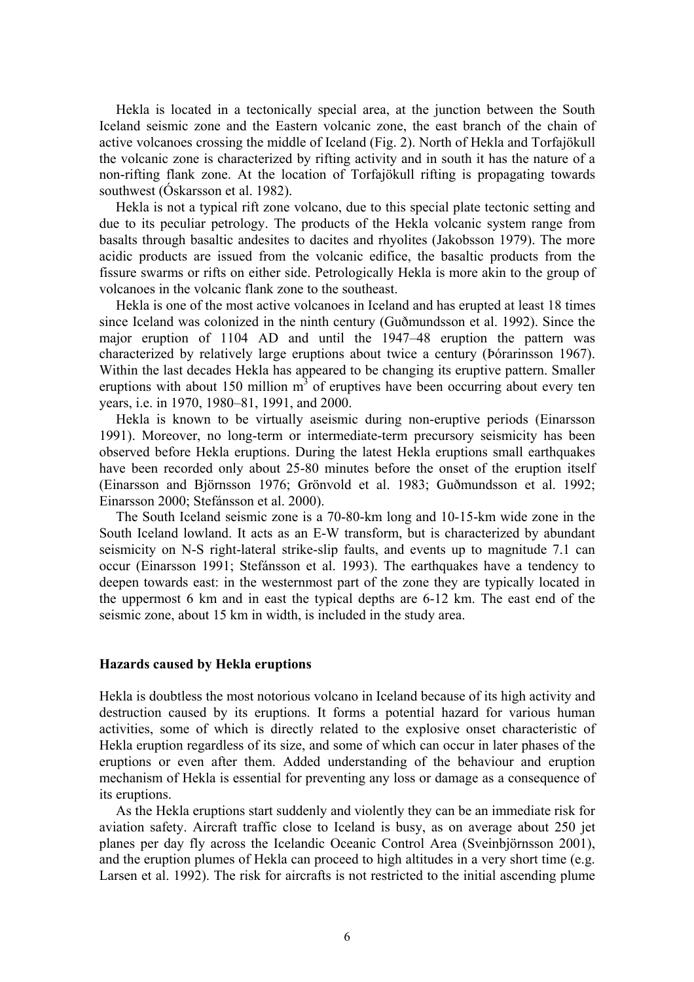Hekla is located in a tectonically special area, at the junction between the South Iceland seismic zone and the Eastern volcanic zone, the east branch of the chain of active volcanoes crossing the middle of Iceland (Fig. 2). North of Hekla and Torfajökull the volcanic zone is characterized by rifting activity and in south it has the nature of a non-rifting flank zone. At the location of Torfajökull rifting is propagating towards southwest (Óskarsson et al. 1982).

Hekla is not a typical rift zone volcano, due to this special plate tectonic setting and due to its peculiar petrology. The products of the Hekla volcanic system range from basalts through basaltic andesites to dacites and rhyolites (Jakobsson 1979). The more acidic products are issued from the volcanic edifice, the basaltic products from the fissure swarms or rifts on either side. Petrologically Hekla is more akin to the group of volcanoes in the volcanic flank zone to the southeast.

Hekla is one of the most active volcanoes in Iceland and has erupted at least 18 times since Iceland was colonized in the ninth century (Guðmundsson et al. 1992). Since the major eruption of 1104 AD and until the 1947–48 eruption the pattern was characterized by relatively large eruptions about twice a century (Þórarinsson 1967). Within the last decades Hekla has appeared to be changing its eruptive pattern. Smaller eruptions with about 150 million  $m<sup>3</sup>$  of eruptives have been occurring about every ten years, i.e. in 1970, 1980–81, 1991, and 2000.

Hekla is known to be virtually aseismic during non-eruptive periods (Einarsson 1991). Moreover, no long-term or intermediate-term precursory seismicity has been observed before Hekla eruptions. During the latest Hekla eruptions small earthquakes have been recorded only about 25-80 minutes before the onset of the eruption itself (Einarsson and Björnsson 1976; Grönvold et al. 1983; Guðmundsson et al. 1992; Einarsson 2000; Stefánsson et al. 2000).

The South Iceland seismic zone is a 70-80-km long and 10-15-km wide zone in the South Iceland lowland. It acts as an E-W transform, but is characterized by abundant seismicity on N-S right-lateral strike-slip faults, and events up to magnitude 7.1 can occur (Einarsson 1991; Stefánsson et al. 1993). The earthquakes have a tendency to deepen towards east: in the westernmost part of the zone they are typically located in the uppermost 6 km and in east the typical depths are 6-12 km. The east end of the seismic zone, about 15 km in width, is included in the study area.

#### **Hazards caused by Hekla eruptions**

Hekla is doubtless the most notorious volcano in Iceland because of its high activity and destruction caused by its eruptions. It forms a potential hazard for various human activities, some of which is directly related to the explosive onset characteristic of Hekla eruption regardless of its size, and some of which can occur in later phases of the eruptions or even after them. Added understanding of the behaviour and eruption mechanism of Hekla is essential for preventing any loss or damage as a consequence of its eruptions.

As the Hekla eruptions start suddenly and violently they can be an immediate risk for aviation safety. Aircraft traffic close to Iceland is busy, as on average about 250 jet planes per day fly across the Icelandic Oceanic Control Area (Sveinbjörnsson 2001), and the eruption plumes of Hekla can proceed to high altitudes in a very short time (e.g. Larsen et al. 1992). The risk for aircrafts is not restricted to the initial ascending plume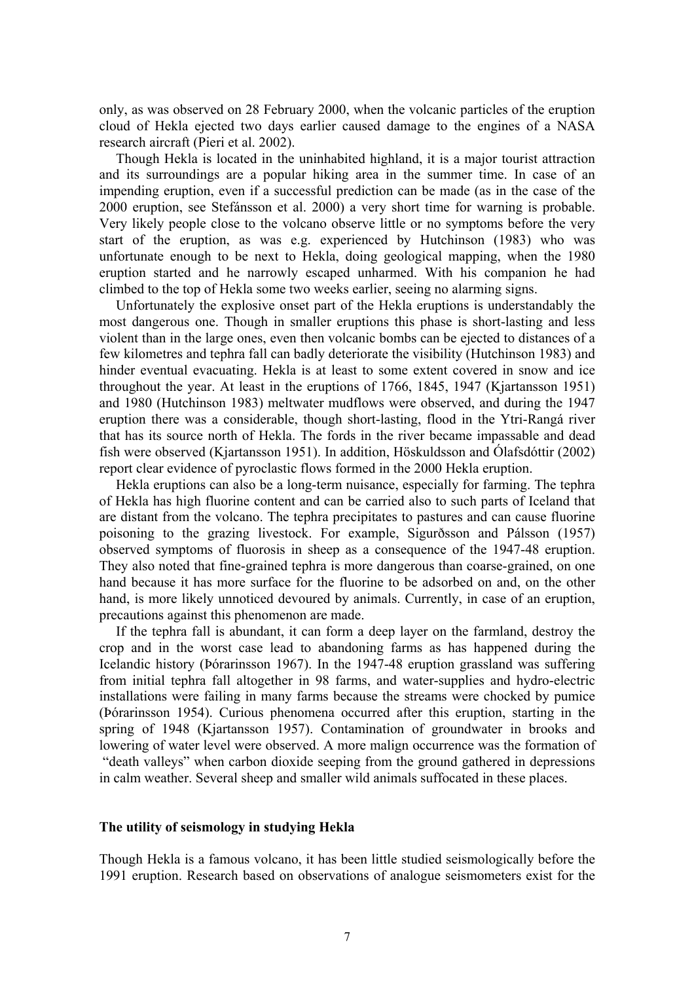only, as was observed on 28 February 2000, when the volcanic particles of the eruption cloud of Hekla ejected two days earlier caused damage to the engines of a NASA research aircraft (Pieri et al. 2002).

Though Hekla is located in the uninhabited highland, it is a major tourist attraction and its surroundings are a popular hiking area in the summer time. In case of an impending eruption, even if a successful prediction can be made (as in the case of the 2000 eruption, see Stefánsson et al. 2000) a very short time for warning is probable. Very likely people close to the volcano observe little or no symptoms before the very start of the eruption, as was e.g. experienced by Hutchinson (1983) who was unfortunate enough to be next to Hekla, doing geological mapping, when the 1980 eruption started and he narrowly escaped unharmed. With his companion he had climbed to the top of Hekla some two weeks earlier, seeing no alarming signs.

Unfortunately the explosive onset part of the Hekla eruptions is understandably the most dangerous one. Though in smaller eruptions this phase is short-lasting and less violent than in the large ones, even then volcanic bombs can be ejected to distances of a few kilometres and tephra fall can badly deteriorate the visibility (Hutchinson 1983) and hinder eventual evacuating. Hekla is at least to some extent covered in snow and ice throughout the year. At least in the eruptions of 1766, 1845, 1947 (Kjartansson 1951) and 1980 (Hutchinson 1983) meltwater mudflows were observed, and during the 1947 eruption there was a considerable, though short-lasting, flood in the Ytri-Rangá river that has its source north of Hekla. The fords in the river became impassable and dead fish were observed (Kjartansson 1951). In addition, Höskuldsson and Ólafsdóttir (2002) report clear evidence of pyroclastic flows formed in the 2000 Hekla eruption.

Hekla eruptions can also be a long-term nuisance, especially for farming. The tephra of Hekla has high fluorine content and can be carried also to such parts of Iceland that are distant from the volcano. The tephra precipitates to pastures and can cause fluorine poisoning to the grazing livestock. For example, Sigurðsson and Pálsson (1957) observed symptoms of fluorosis in sheep as a consequence of the 1947-48 eruption. They also noted that fine-grained tephra is more dangerous than coarse-grained, on one hand because it has more surface for the fluorine to be adsorbed on and, on the other hand, is more likely unnoticed devoured by animals. Currently, in case of an eruption, precautions against this phenomenon are made.

If the tephra fall is abundant, it can form a deep layer on the farmland, destroy the crop and in the worst case lead to abandoning farms as has happened during the Icelandic history (Þórarinsson 1967). In the 1947-48 eruption grassland was suffering from initial tephra fall altogether in 98 farms, and water-supplies and hydro-electric installations were failing in many farms because the streams were chocked by pumice (Þórarinsson 1954). Curious phenomena occurred after this eruption, starting in the spring of 1948 (Kjartansson 1957). Contamination of groundwater in brooks and lowering of water level were observed. A more malign occurrence was the formation of "death valleys" when carbon dioxide seeping from the ground gathered in depressions in calm weather. Several sheep and smaller wild animals suffocated in these places.

#### **The utility of seismology in studying Hekla**

Though Hekla is a famous volcano, it has been little studied seismologically before the 1991 eruption. Research based on observations of analogue seismometers exist for the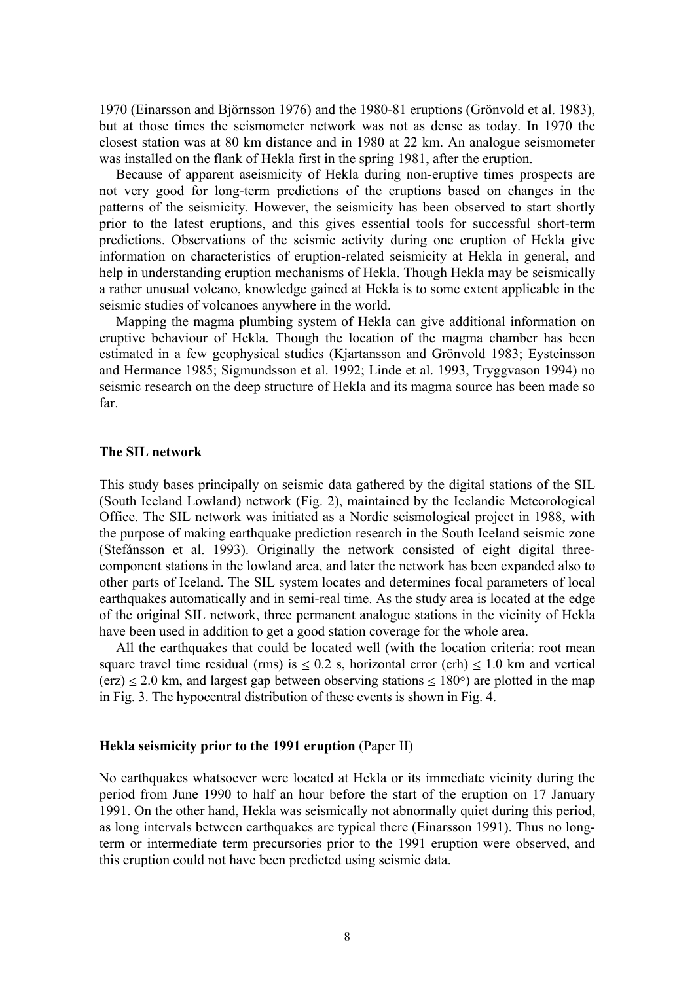1970 (Einarsson and Björnsson 1976) and the 1980-81 eruptions (Grönvold et al. 1983), but at those times the seismometer network was not as dense as today. In 1970 the closest station was at 80 km distance and in 1980 at 22 km. An analogue seismometer was installed on the flank of Hekla first in the spring 1981, after the eruption.

Because of apparent aseismicity of Hekla during non-eruptive times prospects are not very good for long-term predictions of the eruptions based on changes in the patterns of the seismicity. However, the seismicity has been observed to start shortly prior to the latest eruptions, and this gives essential tools for successful short-term predictions. Observations of the seismic activity during one eruption of Hekla give information on characteristics of eruption-related seismicity at Hekla in general, and help in understanding eruption mechanisms of Hekla. Though Hekla may be seismically a rather unusual volcano, knowledge gained at Hekla is to some extent applicable in the seismic studies of volcanoes anywhere in the world.

Mapping the magma plumbing system of Hekla can give additional information on eruptive behaviour of Hekla. Though the location of the magma chamber has been estimated in a few geophysical studies (Kjartansson and Grönvold 1983; Eysteinsson and Hermance 1985; Sigmundsson et al. 1992; Linde et al. 1993, Tryggvason 1994) no seismic research on the deep structure of Hekla and its magma source has been made so far.

#### **The SIL network**

This study bases principally on seismic data gathered by the digital stations of the SIL (South Iceland Lowland) network (Fig. 2), maintained by the Icelandic Meteorological Office. The SIL network was initiated as a Nordic seismological project in 1988, with the purpose of making earthquake prediction research in the South Iceland seismic zone (Stefánsson et al. 1993). Originally the network consisted of eight digital threecomponent stations in the lowland area, and later the network has been expanded also to other parts of Iceland. The SIL system locates and determines focal parameters of local earthquakes automatically and in semi-real time. As the study area is located at the edge of the original SIL network, three permanent analogue stations in the vicinity of Hekla have been used in addition to get a good station coverage for the whole area.

All the earthquakes that could be located well (with the location criteria: root mean square travel time residual (rms) is  $\leq 0.2$  s, horizontal error (erh)  $\leq 1.0$  km and vertical  $(\text{erz}) \le 2.0 \text{ km}$ , and largest gap between observing stations  $\le 180^{\circ}$ ) are plotted in the map in Fig. 3. The hypocentral distribution of these events is shown in Fig. 4.

#### **Hekla seismicity prior to the 1991 eruption** (Paper II)

No earthquakes whatsoever were located at Hekla or its immediate vicinity during the period from June 1990 to half an hour before the start of the eruption on 17 January 1991. On the other hand, Hekla was seismically not abnormally quiet during this period, as long intervals between earthquakes are typical there (Einarsson 1991). Thus no longterm or intermediate term precursories prior to the 1991 eruption were observed, and this eruption could not have been predicted using seismic data.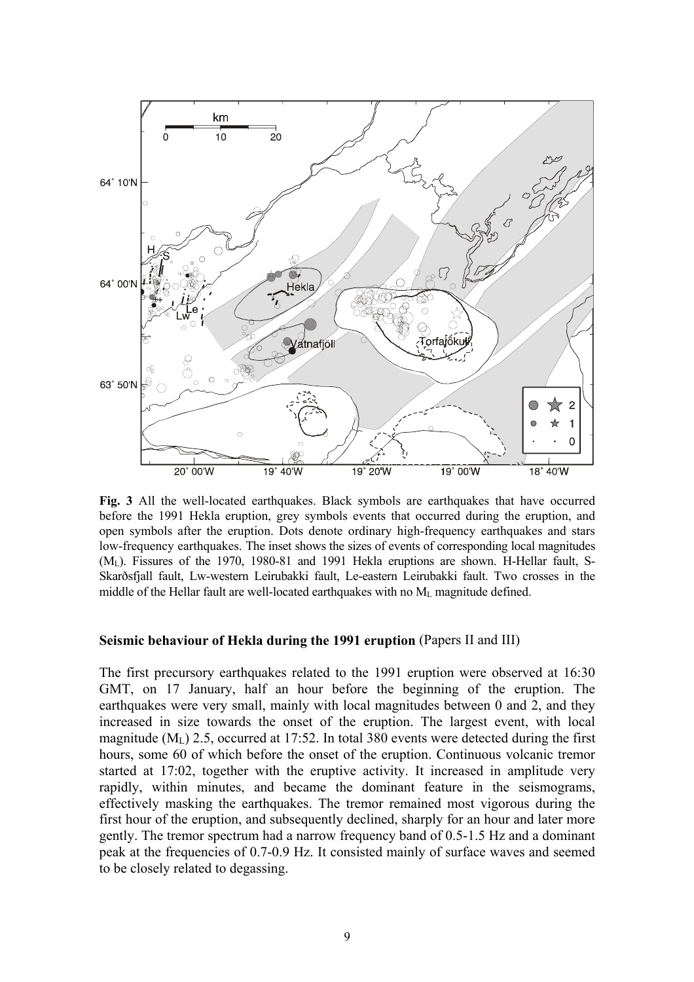

**Fig. 3** All the well-located earthquakes. Black symbols are earthquakes that have occurred before the 1991 Hekla eruption, grey symbols events that occurred during the eruption, and open symbols after the eruption. Dots denote ordinary high-frequency earthquakes and stars low-frequency earthquakes. The inset shows the sizes of events of corresponding local magnitudes  $(M<sub>L</sub>)$ . Fissures of the 1970, 1980-81 and 1991 Hekla eruptions are shown. H-Hellar fault, S-Skarðsfjall fault, Lw-western Leirubakki fault, Le-eastern Leirubakki fault. Two crosses in the middle of the Hellar fault are well-located earthquakes with no ML magnitude defined.

#### **Seismic behaviour of Hekla during the 1991 eruption** (Papers II and III)

The first precursory earthquakes related to the 1991 eruption were observed at 16:30 GMT, on 17 January, half an hour before the beginning of the eruption. The earthquakes were very small, mainly with local magnitudes between 0 and 2, and they increased in size towards the onset of the eruption. The largest event, with local magnitude (ML) 2.5, occurred at 17:52. In total 380 events were detected during the first hours, some 60 of which before the onset of the eruption. Continuous volcanic tremor started at 17:02, together with the eruptive activity. It increased in amplitude very rapidly, within minutes, and became the dominant feature in the seismograms, effectively masking the earthquakes. The tremor remained most vigorous during the first hour of the eruption, and subsequently declined, sharply for an hour and later more gently. The tremor spectrum had a narrow frequency band of 0.5-1.5 Hz and a dominant peak at the frequencies of 0.7-0.9 Hz. It consisted mainly of surface waves and seemed to be closely related to degassing.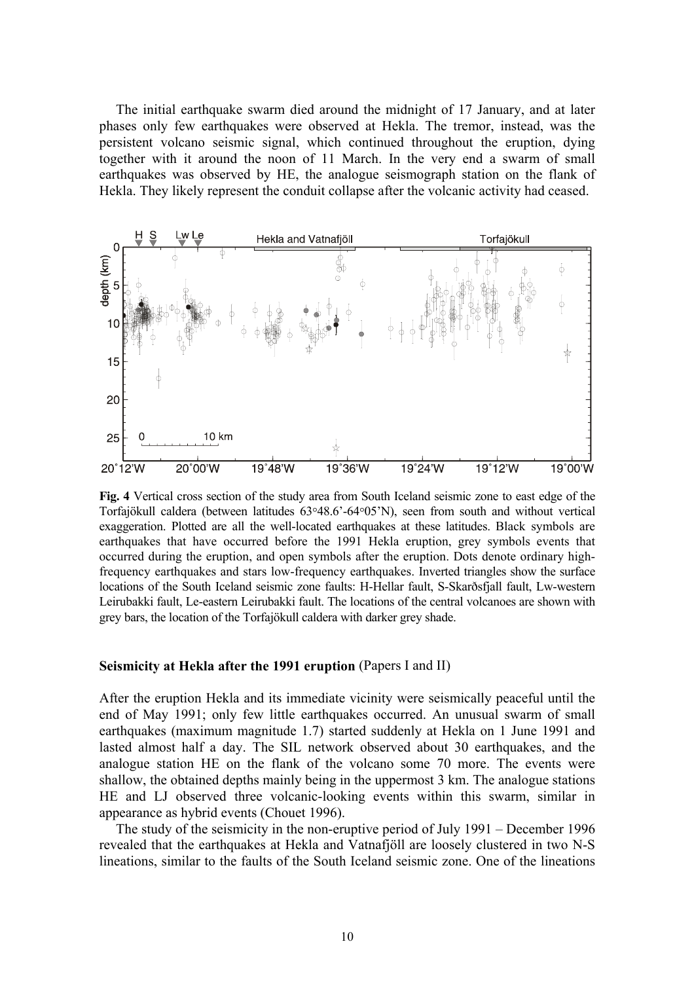The initial earthquake swarm died around the midnight of 17 January, and at later phases only few earthquakes were observed at Hekla. The tremor, instead, was the persistent volcano seismic signal, which continued throughout the eruption, dying together with it around the noon of 11 March. In the very end a swarm of small earthquakes was observed by HE, the analogue seismograph station on the flank of Hekla. They likely represent the conduit collapse after the volcanic activity had ceased.



**Fig. 4** Vertical cross section of the study area from South Iceland seismic zone to east edge of the Torfajökull caldera (between latitudes 63°48.6'-64°05'N), seen from south and without vertical exaggeration. Plotted are all the well-located earthquakes at these latitudes. Black symbols are earthquakes that have occurred before the 1991 Hekla eruption, grey symbols events that occurred during the eruption, and open symbols after the eruption. Dots denote ordinary highfrequency earthquakes and stars low-frequency earthquakes. Inverted triangles show the surface locations of the South Iceland seismic zone faults: H-Hellar fault, S-Skarðsfjall fault, Lw-western Leirubakki fault, Le-eastern Leirubakki fault. The locations of the central volcanoes are shown with grey bars, the location of the Torfajökull caldera with darker grey shade.

#### **Seismicity at Hekla after the 1991 eruption** (Papers I and II)

After the eruption Hekla and its immediate vicinity were seismically peaceful until the end of May 1991; only few little earthquakes occurred. An unusual swarm of small earthquakes (maximum magnitude 1.7) started suddenly at Hekla on 1 June 1991 and lasted almost half a day. The SIL network observed about 30 earthquakes, and the analogue station HE on the flank of the volcano some 70 more. The events were shallow, the obtained depths mainly being in the uppermost 3 km. The analogue stations HE and LJ observed three volcanic-looking events within this swarm, similar in appearance as hybrid events (Chouet 1996).

The study of the seismicity in the non-eruptive period of July 1991 – December 1996 revealed that the earthquakes at Hekla and Vatnafjöll are loosely clustered in two N-S lineations, similar to the faults of the South Iceland seismic zone. One of the lineations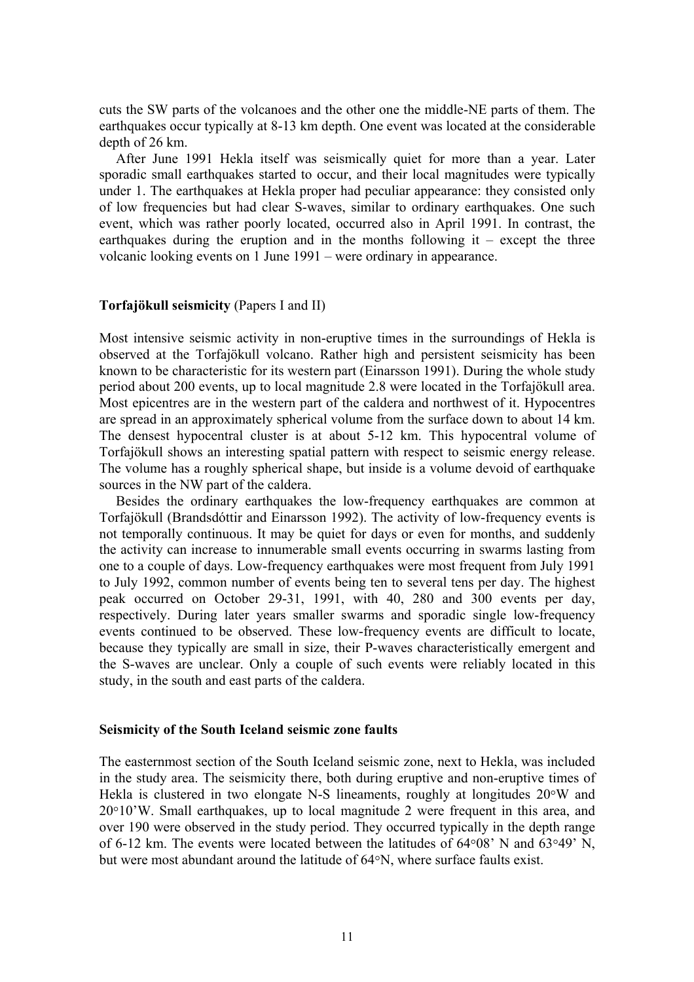cuts the SW parts of the volcanoes and the other one the middle-NE parts of them. The earthquakes occur typically at 8-13 km depth. One event was located at the considerable depth of 26 km.

After June 1991 Hekla itself was seismically quiet for more than a year. Later sporadic small earthquakes started to occur, and their local magnitudes were typically under 1. The earthquakes at Hekla proper had peculiar appearance: they consisted only of low frequencies but had clear S-waves, similar to ordinary earthquakes. One such event, which was rather poorly located, occurred also in April 1991. In contrast, the earthquakes during the eruption and in the months following  $it$  – except the three volcanic looking events on 1 June 1991 – were ordinary in appearance.

# **Torfajökull seismicity** (Papers I and II)

Most intensive seismic activity in non-eruptive times in the surroundings of Hekla is observed at the Torfajökull volcano. Rather high and persistent seismicity has been known to be characteristic for its western part (Einarsson 1991). During the whole study period about 200 events, up to local magnitude 2.8 were located in the Torfajökull area. Most epicentres are in the western part of the caldera and northwest of it. Hypocentres are spread in an approximately spherical volume from the surface down to about 14 km. The densest hypocentral cluster is at about 5-12 km. This hypocentral volume of Torfajökull shows an interesting spatial pattern with respect to seismic energy release. The volume has a roughly spherical shape, but inside is a volume devoid of earthquake sources in the NW part of the caldera.

Besides the ordinary earthquakes the low-frequency earthquakes are common at Torfajökull (Brandsdóttir and Einarsson 1992). The activity of low-frequency events is not temporally continuous. It may be quiet for days or even for months, and suddenly the activity can increase to innumerable small events occurring in swarms lasting from one to a couple of days. Low-frequency earthquakes were most frequent from July 1991 to July 1992, common number of events being ten to several tens per day. The highest peak occurred on October 29-31, 1991, with 40, 280 and 300 events per day, respectively. During later years smaller swarms and sporadic single low-frequency events continued to be observed. These low-frequency events are difficult to locate, because they typically are small in size, their P-waves characteristically emergent and the S-waves are unclear. Only a couple of such events were reliably located in this study, in the south and east parts of the caldera.

#### **Seismicity of the South Iceland seismic zone faults**

The easternmost section of the South Iceland seismic zone, next to Hekla, was included in the study area. The seismicity there, both during eruptive and non-eruptive times of Hekla is clustered in two elongate N-S lineaments, roughly at longitudes 20°W and  $20°10'W$ . Small earthquakes, up to local magnitude 2 were frequent in this area, and over 190 were observed in the study period. They occurred typically in the depth range of 6-12 km. The events were located between the latitudes of 64°08' N and 63°49' N, but were most abundant around the latitude of 64°N, where surface faults exist.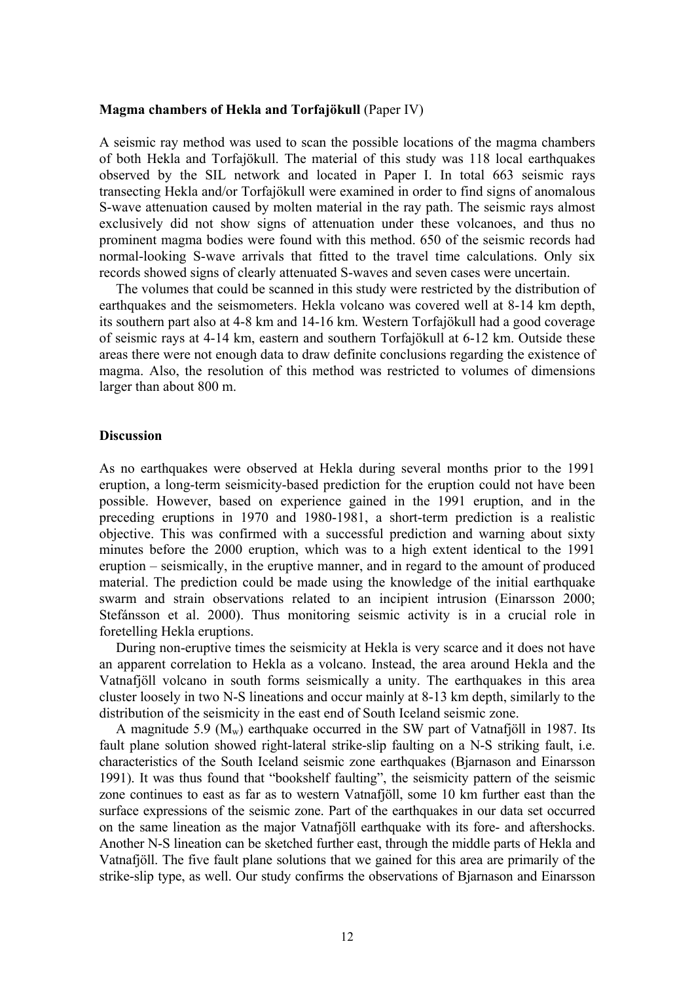#### **Magma chambers of Hekla and Torfajökull** (Paper IV)

A seismic ray method was used to scan the possible locations of the magma chambers of both Hekla and Torfajökull. The material of this study was 118 local earthquakes observed by the SIL network and located in Paper I. In total 663 seismic rays transecting Hekla and/or Torfajökull were examined in order to find signs of anomalous S-wave attenuation caused by molten material in the ray path. The seismic rays almost exclusively did not show signs of attenuation under these volcanoes, and thus no prominent magma bodies were found with this method. 650 of the seismic records had normal-looking S-wave arrivals that fitted to the travel time calculations. Only six records showed signs of clearly attenuated S-waves and seven cases were uncertain.

The volumes that could be scanned in this study were restricted by the distribution of earthquakes and the seismometers. Hekla volcano was covered well at 8-14 km depth, its southern part also at 4-8 km and 14-16 km. Western Torfajökull had a good coverage of seismic rays at 4-14 km, eastern and southern Torfajökull at 6-12 km. Outside these areas there were not enough data to draw definite conclusions regarding the existence of magma. Also, the resolution of this method was restricted to volumes of dimensions larger than about 800 m.

#### **Discussion**

As no earthquakes were observed at Hekla during several months prior to the 1991 eruption, a long-term seismicity-based prediction for the eruption could not have been possible. However, based on experience gained in the 1991 eruption, and in the preceding eruptions in 1970 and 1980-1981, a short-term prediction is a realistic objective. This was confirmed with a successful prediction and warning about sixty minutes before the 2000 eruption, which was to a high extent identical to the 1991 eruption – seismically, in the eruptive manner, and in regard to the amount of produced material. The prediction could be made using the knowledge of the initial earthquake swarm and strain observations related to an incipient intrusion (Einarsson 2000; Stefánsson et al. 2000). Thus monitoring seismic activity is in a crucial role in foretelling Hekla eruptions.

During non-eruptive times the seismicity at Hekla is very scarce and it does not have an apparent correlation to Hekla as a volcano. Instead, the area around Hekla and the Vatnafjöll volcano in south forms seismically a unity. The earthquakes in this area cluster loosely in two N-S lineations and occur mainly at 8-13 km depth, similarly to the distribution of the seismicity in the east end of South Iceland seismic zone.

A magnitude 5.9 ( $M_w$ ) earthquake occurred in the SW part of Vatnafjöll in 1987. Its fault plane solution showed right-lateral strike-slip faulting on a N-S striking fault, i.e. characteristics of the South Iceland seismic zone earthquakes (Bjarnason and Einarsson 1991). It was thus found that "bookshelf faulting", the seismicity pattern of the seismic zone continues to east as far as to western Vatnafjöll, some 10 km further east than the surface expressions of the seismic zone. Part of the earthquakes in our data set occurred on the same lineation as the major Vatnafjöll earthquake with its fore- and aftershocks. Another N-S lineation can be sketched further east, through the middle parts of Hekla and Vatnafjöll. The five fault plane solutions that we gained for this area are primarily of the strike-slip type, as well. Our study confirms the observations of Bjarnason and Einarsson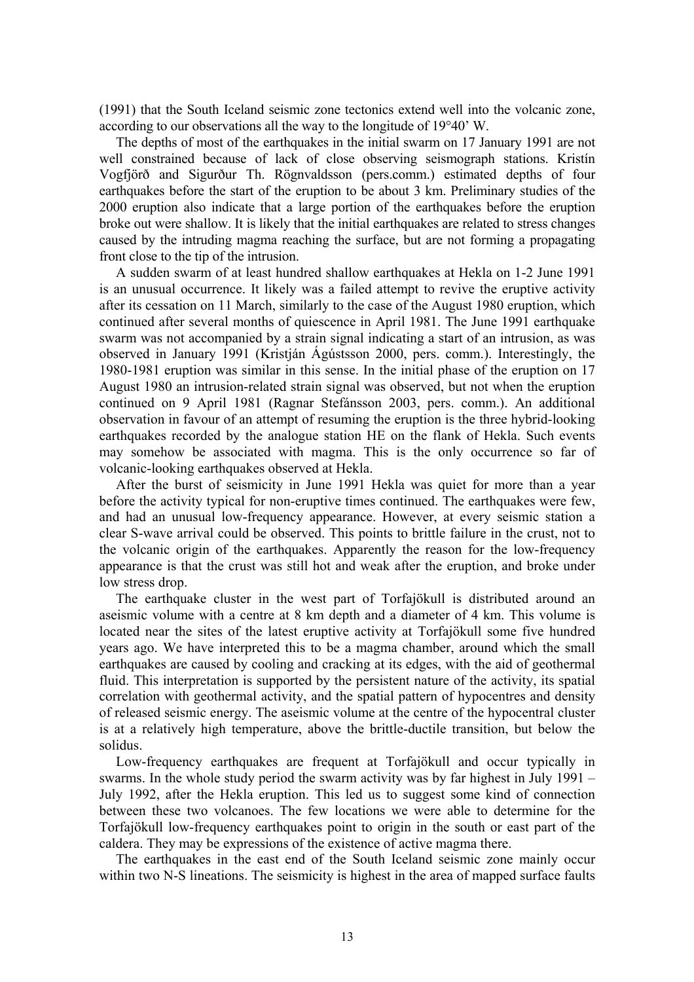(1991) that the South Iceland seismic zone tectonics extend well into the volcanic zone, according to our observations all the way to the longitude of 19°40' W.

The depths of most of the earthquakes in the initial swarm on 17 January 1991 are not well constrained because of lack of close observing seismograph stations. Kristín Vogfjörð and Sigurður Th. Rögnvaldsson (pers.comm.) estimated depths of four earthquakes before the start of the eruption to be about 3 km. Preliminary studies of the 2000 eruption also indicate that a large portion of the earthquakes before the eruption broke out were shallow. It is likely that the initial earthquakes are related to stress changes caused by the intruding magma reaching the surface, but are not forming a propagating front close to the tip of the intrusion.

A sudden swarm of at least hundred shallow earthquakes at Hekla on 1-2 June 1991 is an unusual occurrence. It likely was a failed attempt to revive the eruptive activity after its cessation on 11 March, similarly to the case of the August 1980 eruption, which continued after several months of quiescence in April 1981. The June 1991 earthquake swarm was not accompanied by a strain signal indicating a start of an intrusion, as was observed in January 1991 (Kristján Ágústsson 2000, pers. comm.). Interestingly, the 1980-1981 eruption was similar in this sense. In the initial phase of the eruption on 17 August 1980 an intrusion-related strain signal was observed, but not when the eruption continued on 9 April 1981 (Ragnar Stefánsson 2003, pers. comm.). An additional observation in favour of an attempt of resuming the eruption is the three hybrid-looking earthquakes recorded by the analogue station HE on the flank of Hekla. Such events may somehow be associated with magma. This is the only occurrence so far of volcanic-looking earthquakes observed at Hekla.

After the burst of seismicity in June 1991 Hekla was quiet for more than a year before the activity typical for non-eruptive times continued. The earthquakes were few, and had an unusual low-frequency appearance. However, at every seismic station a clear S-wave arrival could be observed. This points to brittle failure in the crust, not to the volcanic origin of the earthquakes. Apparently the reason for the low-frequency appearance is that the crust was still hot and weak after the eruption, and broke under low stress drop.

The earthquake cluster in the west part of Torfajökull is distributed around an aseismic volume with a centre at 8 km depth and a diameter of 4 km. This volume is located near the sites of the latest eruptive activity at Torfajökull some five hundred years ago. We have interpreted this to be a magma chamber, around which the small earthquakes are caused by cooling and cracking at its edges, with the aid of geothermal fluid. This interpretation is supported by the persistent nature of the activity, its spatial correlation with geothermal activity, and the spatial pattern of hypocentres and density of released seismic energy. The aseismic volume at the centre of the hypocentral cluster is at a relatively high temperature, above the brittle-ductile transition, but below the solidus.

Low-frequency earthquakes are frequent at Torfajökull and occur typically in swarms. In the whole study period the swarm activity was by far highest in July 1991 – July 1992, after the Hekla eruption. This led us to suggest some kind of connection between these two volcanoes. The few locations we were able to determine for the Torfajökull low-frequency earthquakes point to origin in the south or east part of the caldera. They may be expressions of the existence of active magma there.

The earthquakes in the east end of the South Iceland seismic zone mainly occur within two N-S lineations. The seismicity is highest in the area of mapped surface faults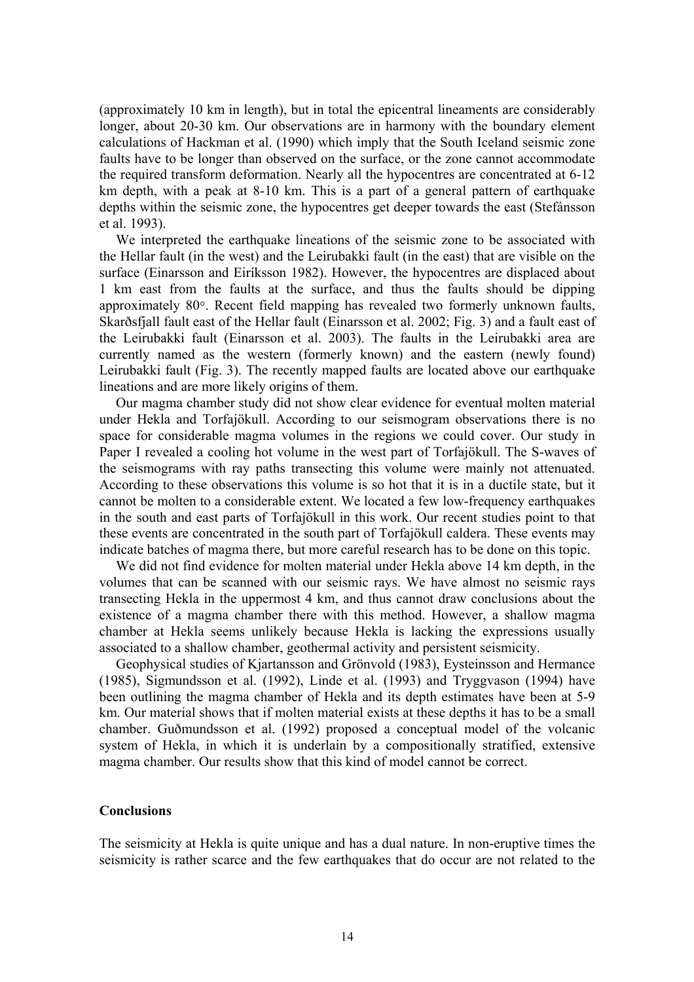(approximately 10 km in length), but in total the epicentral lineaments are considerably longer, about 20-30 km. Our observations are in harmony with the boundary element calculations of Hackman et al. (1990) which imply that the South Iceland seismic zone faults have to be longer than observed on the surface, or the zone cannot accommodate the required transform deformation. Nearly all the hypocentres are concentrated at 6-12 km depth, with a peak at 8-10 km. This is a part of a general pattern of earthquake depths within the seismic zone, the hypocentres get deeper towards the east (Stefánsson et al. 1993).

We interpreted the earthquake lineations of the seismic zone to be associated with the Hellar fault (in the west) and the Leirubakki fault (in the east) that are visible on the surface (Einarsson and Eiríksson 1982). However, the hypocentres are displaced about 1 km east from the faults at the surface, and thus the faults should be dipping approximately 80°. Recent field mapping has revealed two formerly unknown faults, Skarðsfjall fault east of the Hellar fault (Einarsson et al. 2002; Fig. 3) and a fault east of the Leirubakki fault (Einarsson et al. 2003). The faults in the Leirubakki area are currently named as the western (formerly known) and the eastern (newly found) Leirubakki fault (Fig. 3). The recently mapped faults are located above our earthquake lineations and are more likely origins of them.

Our magma chamber study did not show clear evidence for eventual molten material under Hekla and Torfajökull. According to our seismogram observations there is no space for considerable magma volumes in the regions we could cover. Our study in Paper I revealed a cooling hot volume in the west part of Torfajökull. The S-waves of the seismograms with ray paths transecting this volume were mainly not attenuated. According to these observations this volume is so hot that it is in a ductile state, but it cannot be molten to a considerable extent. We located a few low-frequency earthquakes in the south and east parts of Torfajökull in this work. Our recent studies point to that these events are concentrated in the south part of Torfajökull caldera. These events may indicate batches of magma there, but more careful research has to be done on this topic.

We did not find evidence for molten material under Hekla above 14 km depth, in the volumes that can be scanned with our seismic rays. We have almost no seismic rays transecting Hekla in the uppermost 4 km, and thus cannot draw conclusions about the existence of a magma chamber there with this method. However, a shallow magma chamber at Hekla seems unlikely because Hekla is lacking the expressions usually associated to a shallow chamber, geothermal activity and persistent seismicity.

Geophysical studies of Kjartansson and Grönvold (1983), Eysteinsson and Hermance (1985), Sigmundsson et al. (1992), Linde et al. (1993) and Tryggvason (1994) have been outlining the magma chamber of Hekla and its depth estimates have been at 5-9 km. Our material shows that if molten material exists at these depths it has to be a small chamber. Guðmundsson et al. (1992) proposed a conceptual model of the volcanic system of Hekla, in which it is underlain by a compositionally stratified, extensive magma chamber. Our results show that this kind of model cannot be correct.

#### **Conclusions**

The seismicity at Hekla is quite unique and has a dual nature. In non-eruptive times the seismicity is rather scarce and the few earthquakes that do occur are not related to the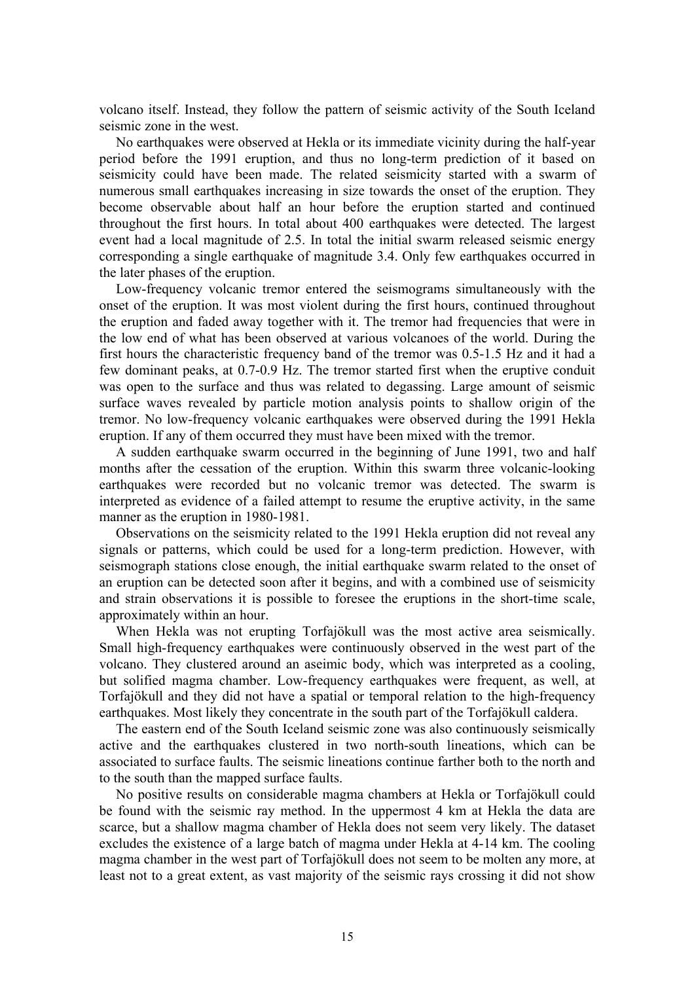volcano itself. Instead, they follow the pattern of seismic activity of the South Iceland seismic zone in the west.

No earthquakes were observed at Hekla or its immediate vicinity during the half-year period before the 1991 eruption, and thus no long-term prediction of it based on seismicity could have been made. The related seismicity started with a swarm of numerous small earthquakes increasing in size towards the onset of the eruption. They become observable about half an hour before the eruption started and continued throughout the first hours. In total about 400 earthquakes were detected. The largest event had a local magnitude of 2.5. In total the initial swarm released seismic energy corresponding a single earthquake of magnitude 3.4. Only few earthquakes occurred in the later phases of the eruption.

Low-frequency volcanic tremor entered the seismograms simultaneously with the onset of the eruption. It was most violent during the first hours, continued throughout the eruption and faded away together with it. The tremor had frequencies that were in the low end of what has been observed at various volcanoes of the world. During the first hours the characteristic frequency band of the tremor was 0.5-1.5 Hz and it had a few dominant peaks, at 0.7-0.9 Hz. The tremor started first when the eruptive conduit was open to the surface and thus was related to degassing. Large amount of seismic surface waves revealed by particle motion analysis points to shallow origin of the tremor. No low-frequency volcanic earthquakes were observed during the 1991 Hekla eruption. If any of them occurred they must have been mixed with the tremor.

A sudden earthquake swarm occurred in the beginning of June 1991, two and half months after the cessation of the eruption. Within this swarm three volcanic-looking earthquakes were recorded but no volcanic tremor was detected. The swarm is interpreted as evidence of a failed attempt to resume the eruptive activity, in the same manner as the eruption in 1980-1981.

Observations on the seismicity related to the 1991 Hekla eruption did not reveal any signals or patterns, which could be used for a long-term prediction. However, with seismograph stations close enough, the initial earthquake swarm related to the onset of an eruption can be detected soon after it begins, and with a combined use of seismicity and strain observations it is possible to foresee the eruptions in the short-time scale, approximately within an hour.

When Hekla was not erupting Torfajökull was the most active area seismically. Small high-frequency earthquakes were continuously observed in the west part of the volcano. They clustered around an aseimic body, which was interpreted as a cooling, but solified magma chamber. Low-frequency earthquakes were frequent, as well, at Torfajökull and they did not have a spatial or temporal relation to the high-frequency earthquakes. Most likely they concentrate in the south part of the Torfajökull caldera.

The eastern end of the South Iceland seismic zone was also continuously seismically active and the earthquakes clustered in two north-south lineations, which can be associated to surface faults. The seismic lineations continue farther both to the north and to the south than the mapped surface faults.

No positive results on considerable magma chambers at Hekla or Torfajökull could be found with the seismic ray method. In the uppermost 4 km at Hekla the data are scarce, but a shallow magma chamber of Hekla does not seem very likely. The dataset excludes the existence of a large batch of magma under Hekla at 4-14 km. The cooling magma chamber in the west part of Torfajökull does not seem to be molten any more, at least not to a great extent, as vast majority of the seismic rays crossing it did not show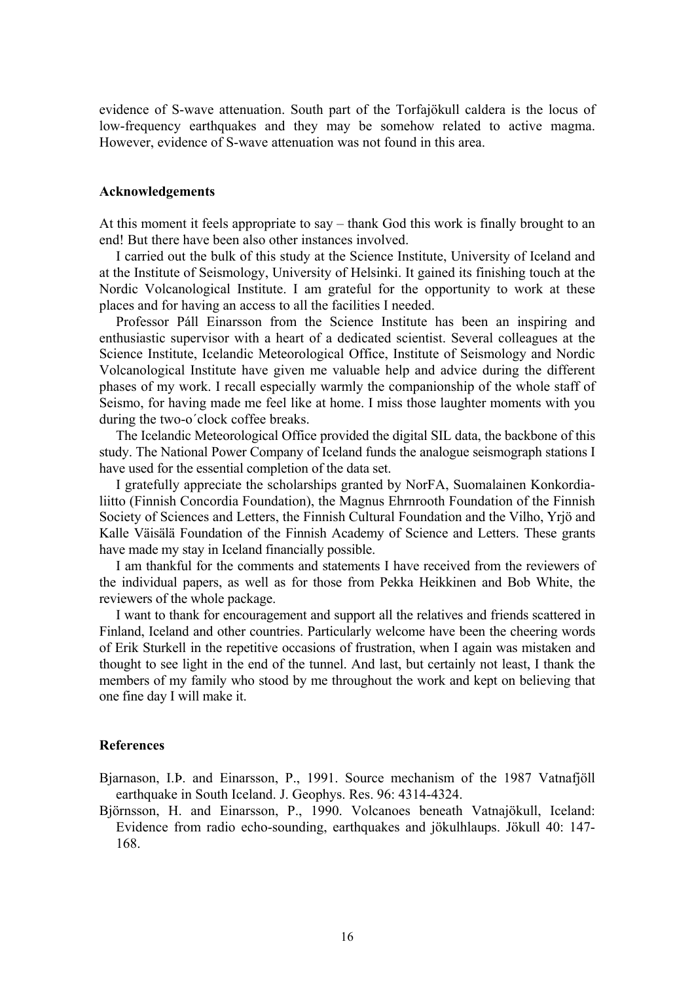evidence of S-wave attenuation. South part of the Torfajökull caldera is the locus of low-frequency earthquakes and they may be somehow related to active magma. However, evidence of S-wave attenuation was not found in this area.

#### **Acknowledgements**

At this moment it feels appropriate to say – thank God this work is finally brought to an end! But there have been also other instances involved.

I carried out the bulk of this study at the Science Institute, University of Iceland and at the Institute of Seismology, University of Helsinki. It gained its finishing touch at the Nordic Volcanological Institute. I am grateful for the opportunity to work at these places and for having an access to all the facilities I needed.

Professor Páll Einarsson from the Science Institute has been an inspiring and enthusiastic supervisor with a heart of a dedicated scientist. Several colleagues at the Science Institute, Icelandic Meteorological Office, Institute of Seismology and Nordic Volcanological Institute have given me valuable help and advice during the different phases of my work. I recall especially warmly the companionship of the whole staff of Seismo, for having made me feel like at home. I miss those laughter moments with you during the two-o´clock coffee breaks.

The Icelandic Meteorological Office provided the digital SIL data, the backbone of this study. The National Power Company of Iceland funds the analogue seismograph stations I have used for the essential completion of the data set.

I gratefully appreciate the scholarships granted by NorFA, Suomalainen Konkordialiitto (Finnish Concordia Foundation), the Magnus Ehrnrooth Foundation of the Finnish Society of Sciences and Letters, the Finnish Cultural Foundation and the Vilho, Yrjö and Kalle Väisälä Foundation of the Finnish Academy of Science and Letters. These grants have made my stay in Iceland financially possible.

I am thankful for the comments and statements I have received from the reviewers of the individual papers, as well as for those from Pekka Heikkinen and Bob White, the reviewers of the whole package.

I want to thank for encouragement and support all the relatives and friends scattered in Finland, Iceland and other countries. Particularly welcome have been the cheering words of Erik Sturkell in the repetitive occasions of frustration, when I again was mistaken and thought to see light in the end of the tunnel. And last, but certainly not least, I thank the members of my family who stood by me throughout the work and kept on believing that one fine day I will make it.

#### **References**

Bjarnason, I.Þ. and Einarsson, P., 1991. Source mechanism of the 1987 Vatnafjöll earthquake in South Iceland. J. Geophys. Res. 96: 4314-4324.

Björnsson, H. and Einarsson, P., 1990. Volcanoes beneath Vatnajökull, Iceland: Evidence from radio echo-sounding, earthquakes and jökulhlaups. Jökull 40: 147- 168.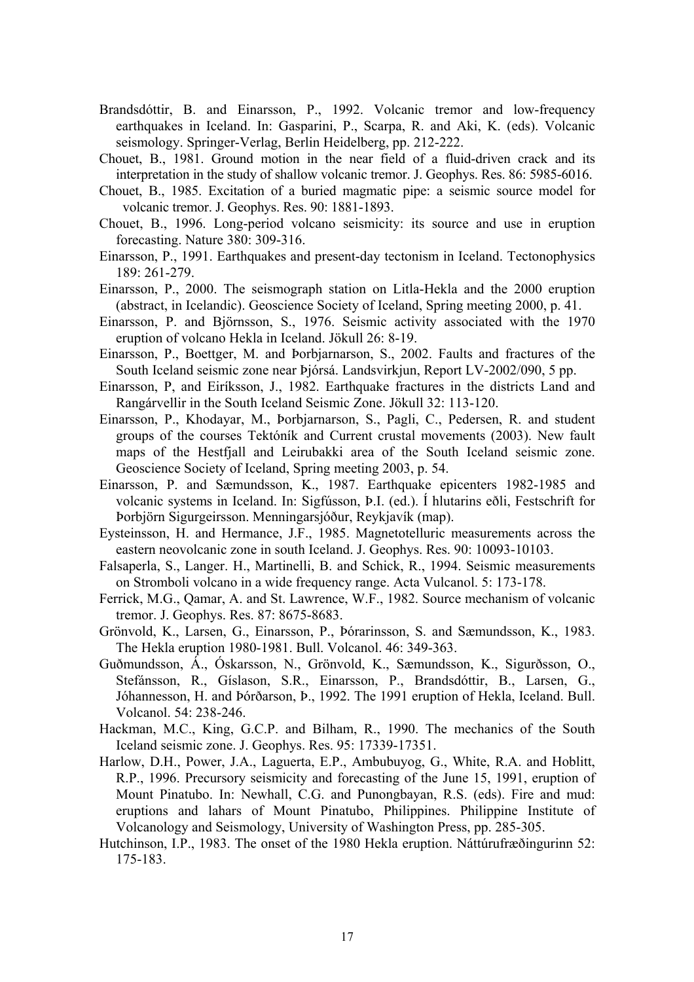- Brandsdóttir, B. and Einarsson, P., 1992. Volcanic tremor and low-frequency earthquakes in Iceland. In: Gasparini, P., Scarpa, R. and Aki, K. (eds). Volcanic seismology. Springer-Verlag, Berlin Heidelberg, pp. 212-222.
- Chouet, B., 1981. Ground motion in the near field of a fluid-driven crack and its interpretation in the study of shallow volcanic tremor. J. Geophys. Res. 86: 5985-6016.
- Chouet, B., 1985. Excitation of a buried magmatic pipe: a seismic source model for volcanic tremor. J. Geophys. Res. 90: 1881-1893.
- Chouet, B., 1996. Long-period volcano seismicity: its source and use in eruption forecasting. Nature 380: 309-316.
- Einarsson, P., 1991. Earthquakes and present-day tectonism in Iceland. Tectonophysics 189: 261-279.
- Einarsson, P., 2000. The seismograph station on Litla-Hekla and the 2000 eruption (abstract, in Icelandic). Geoscience Society of Iceland, Spring meeting 2000, p. 41.
- Einarsson, P. and Björnsson, S., 1976. Seismic activity associated with the 1970 eruption of volcano Hekla in Iceland. Jökull 26: 8-19.
- Einarsson, P., Boettger, M. and Þorbjarnarson, S., 2002. Faults and fractures of the South Iceland seismic zone near Þjórsá. Landsvirkjun, Report LV-2002/090, 5 pp.
- Einarsson, P, and Eiríksson, J., 1982. Earthquake fractures in the districts Land and Rangárvellir in the South Iceland Seismic Zone. Jökull 32: 113-120.
- Einarsson, P., Khodayar, M., Þorbjarnarson, S., Pagli, C., Pedersen, R. and student groups of the courses Tektóník and Current crustal movements (2003). New fault maps of the Hestfjall and Leirubakki area of the South Iceland seismic zone. Geoscience Society of Iceland, Spring meeting 2003, p. 54.
- Einarsson, P. and Sæmundsson, K., 1987. Earthquake epicenters 1982-1985 and volcanic systems in Iceland. In: Sigfússon, Þ.I. (ed.). Í hlutarins eðli, Festschrift for Þorbjörn Sigurgeirsson. Menningarsjóður, Reykjavík (map).
- Eysteinsson, H. and Hermance, J.F., 1985. Magnetotelluric measurements across the eastern neovolcanic zone in south Iceland. J. Geophys. Res. 90: 10093-10103.
- Falsaperla, S., Langer. H., Martinelli, B. and Schick, R., 1994. Seismic measurements on Stromboli volcano in a wide frequency range. Acta Vulcanol. 5: 173-178.
- Ferrick, M.G., Qamar, A. and St. Lawrence, W.F., 1982. Source mechanism of volcanic tremor. J. Geophys. Res. 87: 8675-8683.
- Grönvold, K., Larsen, G., Einarsson, P., Þórarinsson, S. and Sæmundsson, K., 1983. The Hekla eruption 1980-1981. Bull. Volcanol. 46: 349-363.
- Guðmundsson, Á., Óskarsson, N., Grönvold, K., Sæmundsson, K., Sigurðsson, O., Stefánsson, R., Gíslason, S.R., Einarsson, P., Brandsdóttir, B., Larsen, G., Jóhannesson, H. and Þórðarson, Þ., 1992. The 1991 eruption of Hekla, Iceland. Bull. Volcanol. 54: 238-246.
- Hackman, M.C., King, G.C.P. and Bilham, R., 1990. The mechanics of the South Iceland seismic zone. J. Geophys. Res. 95: 17339-17351.
- Harlow, D.H., Power, J.A., Laguerta, E.P., Ambubuyog, G., White, R.A. and Hoblitt, R.P., 1996. Precursory seismicity and forecasting of the June 15, 1991, eruption of Mount Pinatubo. In: Newhall, C.G. and Punongbayan, R.S. (eds). Fire and mud: eruptions and lahars of Mount Pinatubo, Philippines. Philippine Institute of Volcanology and Seismology, University of Washington Press, pp. 285-305.
- Hutchinson, I.P., 1983. The onset of the 1980 Hekla eruption. Náttúrufræðingurinn 52: 175-183.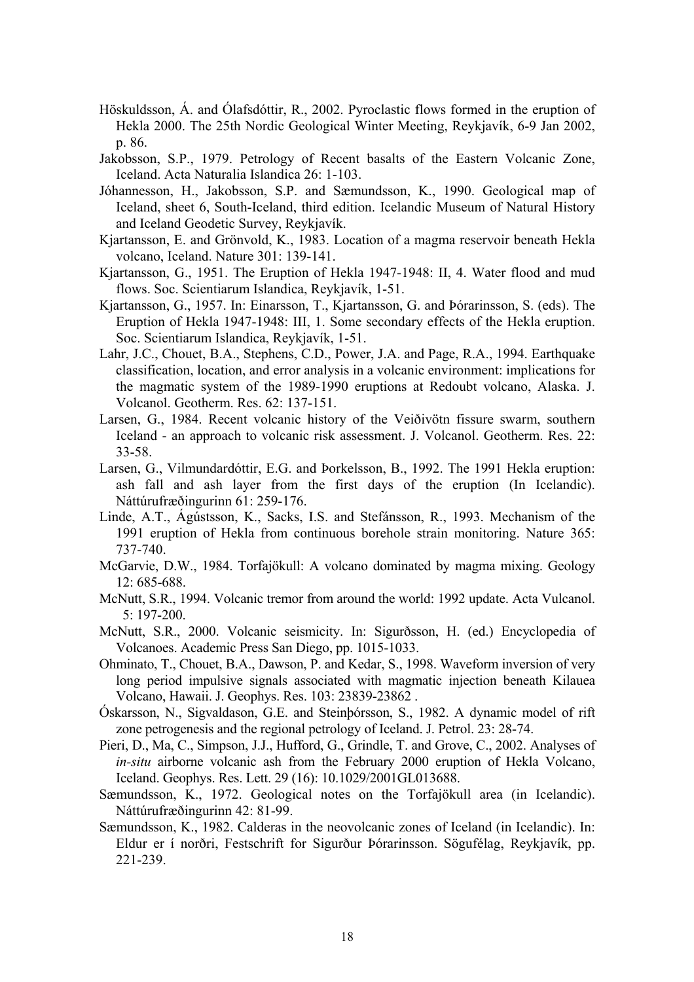- Höskuldsson, Á. and Ólafsdóttir, R., 2002. Pyroclastic flows formed in the eruption of Hekla 2000. The 25th Nordic Geological Winter Meeting, Reykjavík, 6-9 Jan 2002, p. 86.
- Jakobsson, S.P., 1979. Petrology of Recent basalts of the Eastern Volcanic Zone, Iceland. Acta Naturalia Islandica 26: 1-103.
- Jóhannesson, H., Jakobsson, S.P. and Sæmundsson, K., 1990. Geological map of Iceland, sheet 6, South-Iceland, third edition. Icelandic Museum of Natural History and Iceland Geodetic Survey, Reykjavík.
- Kjartansson, E. and Grönvold, K., 1983. Location of a magma reservoir beneath Hekla volcano, Iceland. Nature 301: 139-141.
- Kjartansson, G., 1951. The Eruption of Hekla 1947-1948: II, 4. Water flood and mud flows. Soc. Scientiarum Islandica, Reykjavík, 1-51.
- Kjartansson, G., 1957. In: Einarsson, T., Kjartansson, G. and Þórarinsson, S. (eds). The Eruption of Hekla 1947-1948: III, 1. Some secondary effects of the Hekla eruption. Soc. Scientiarum Islandica, Reykjavík, 1-51.
- Lahr, J.C., Chouet, B.A., Stephens, C.D., Power, J.A. and Page, R.A., 1994. Earthquake classification, location, and error analysis in a volcanic environment: implications for the magmatic system of the 1989-1990 eruptions at Redoubt volcano, Alaska. J. Volcanol. Geotherm. Res. 62: 137-151.
- Larsen, G., 1984. Recent volcanic history of the Veiðivötn fissure swarm, southern Iceland - an approach to volcanic risk assessment. J. Volcanol. Geotherm. Res. 22: 33-58.
- Larsen, G., Vilmundardóttir, E.G. and Þorkelsson, B., 1992. The 1991 Hekla eruption: ash fall and ash layer from the first days of the eruption (In Icelandic). Náttúrufræðingurinn 61: 259-176.
- Linde, A.T., Ágústsson, K., Sacks, I.S. and Stefánsson, R., 1993. Mechanism of the 1991 eruption of Hekla from continuous borehole strain monitoring. Nature 365: 737-740.
- McGarvie, D.W., 1984. Torfajökull: A volcano dominated by magma mixing. Geology 12: 685-688.
- McNutt, S.R., 1994. Volcanic tremor from around the world: 1992 update. Acta Vulcanol. 5: 197-200.
- McNutt, S.R., 2000. Volcanic seismicity. In: Sigurðsson, H. (ed.) Encyclopedia of Volcanoes. Academic Press San Diego, pp. 1015-1033.
- Ohminato, T., Chouet, B.A., Dawson, P. and Kedar, S., 1998. Waveform inversion of very long period impulsive signals associated with magmatic injection beneath Kilauea Volcano, Hawaii. J. Geophys. Res. 103: 23839-23862 .
- Óskarsson, N., Sigvaldason, G.E. and Steinþórsson, S., 1982. A dynamic model of rift zone petrogenesis and the regional petrology of Iceland. J. Petrol. 23: 28-74.
- Pieri, D., Ma, C., Simpson, J.J., Hufford, G., Grindle, T. and Grove, C., 2002. Analyses of *in-situ* airborne volcanic ash from the February 2000 eruption of Hekla Volcano, Iceland. Geophys. Res. Lett. 29 (16): 10.1029/2001GL013688.
- Sæmundsson, K., 1972. Geological notes on the Torfajökull area (in Icelandic). Náttúrufræðingurinn 42: 81-99.
- Sæmundsson, K., 1982. Calderas in the neovolcanic zones of Iceland (in Icelandic). In: Eldur er í norðri, Festschrift for Sigurður Þórarinsson. Sögufélag, Reykjavík, pp. 221-239.